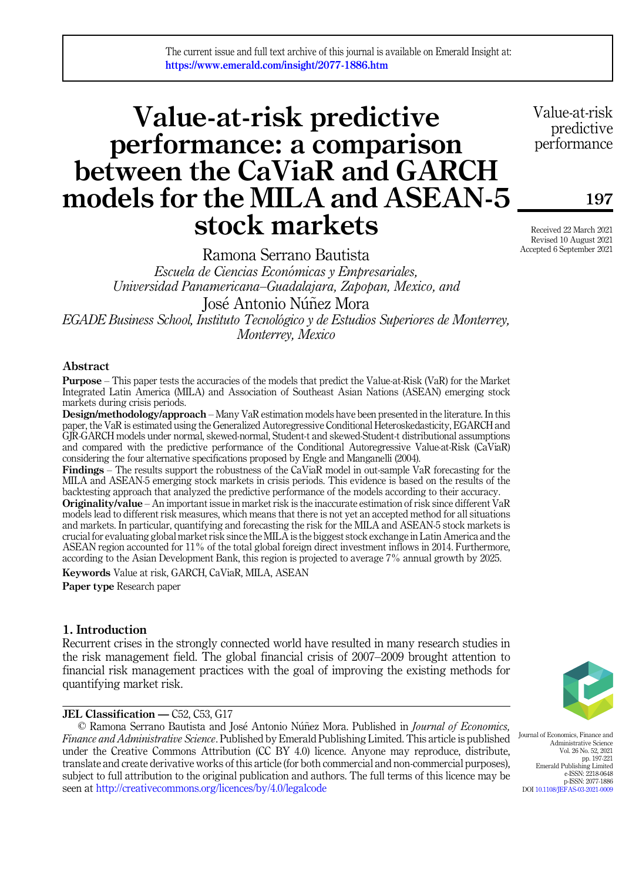The current issue and full text archive of this journal is available on Emerald Insight at: https://www.emerald.com/insight/2077-1886.htm

# Value-at-risk predictive performance: a comparison between the CaViaR and GARCH models for the MILA and ASEAN-5 stock markets

Ramona Serrano Bautista

Escuela de Ciencias Económicas y Empresariales, Universidad Panamericana–Guadalajara, Zapopan, Mexico, and José Antonio Núñez Mora

EGADE Business School, Instituto Tecnologico y de Estudios Superiores de Monterrey, Monterrey, Mexico

# Abstract

Purpose – This paper tests the accuracies of the models that predict the Value-at-Risk (VaR) for the Market Integrated Latin America (MILA) and Association of Southeast Asian Nations (ASEAN) emerging stock markets during crisis periods.

Design/methodology/approach – Many VaR estimation models have been presented in the literature. In this paper, the VaR is estimated using the Generalized Autoregressive Conditional Heteroskedasticity, EGARCH and GJR-GARCH models under normal, skewed-normal, Student-t and skewed-Student-t distributional assumptions and compared with the predictive performance of the Conditional Autoregressive Value-at-Risk (CaViaR) considering the four alternative specifications proposed by Engle and Manganelli (2004).

Findings – The results support the robustness of the CaViaR model in out-sample VaR forecasting for the MILA and ASEAN-5 emerging stock markets in crisis periods. This evidence is based on the results of the backtesting approach that analyzed the predictive performance of the models according to their accuracy.

Originality/value – An important issue in market risk is the inaccurate estimation of risk since different VaR models lead to different risk measures, which means that there is not yet an accepted method for all situations and markets. In particular, quantifying and forecasting the risk for the MILA and ASEAN-5 stock markets is crucial for evaluating global market risk since the MILA is the biggest stock exchange in Latin America and the ASEAN region accounted for 11% of the total global foreign direct investment inflows in 2014. Furthermore, according to the Asian Development Bank, this region is projected to average 7% annual growth by 2025.

Keywords Value at risk, GARCH, CaViaR, MILA, ASEAN

Paper type Research paper

# 1. Introduction

Recurrent crises in the strongly connected world have resulted in many research studies in the risk management field. The global financial crisis of 2007–2009 brought attention to financial risk management practices with the goal of improving the existing methods for quantifying market risk.

# JEL Classification — C52, C53, G17

© Ramona Serrano Bautista and José Antonio Núñez Mora. Published in Journal of Economics, Finance and Administrative Science. Published by Emerald Publishing Limited. This article is published under the Creative Commons Attribution (CC BY 4.0) licence. Anyone may reproduce, distribute, translate and create derivative works of this article (for both commercial and non-commercial purposes), subject to full attribution to the original publication and authors. The full terms of this licence may be seen at <http://creativecommons.org/licences/by/4.0/legalcode>



Journal of Economics, Finance and Administrative Science Vol. 26 No. 52, 2021 pp. 197-221 Emerald Publishing Limited e-ISSN: 2218-0648 p-ISSN: 2077-1886 DOI [10.1108/JEFAS-03-2021-0009](https://doi.org/10.1108/JEFAS-03-2021-0009)

Value-at-risk predictive performance

197

Received 22 March 2021 Revised 10 August 2021 Accepted 6 September 2021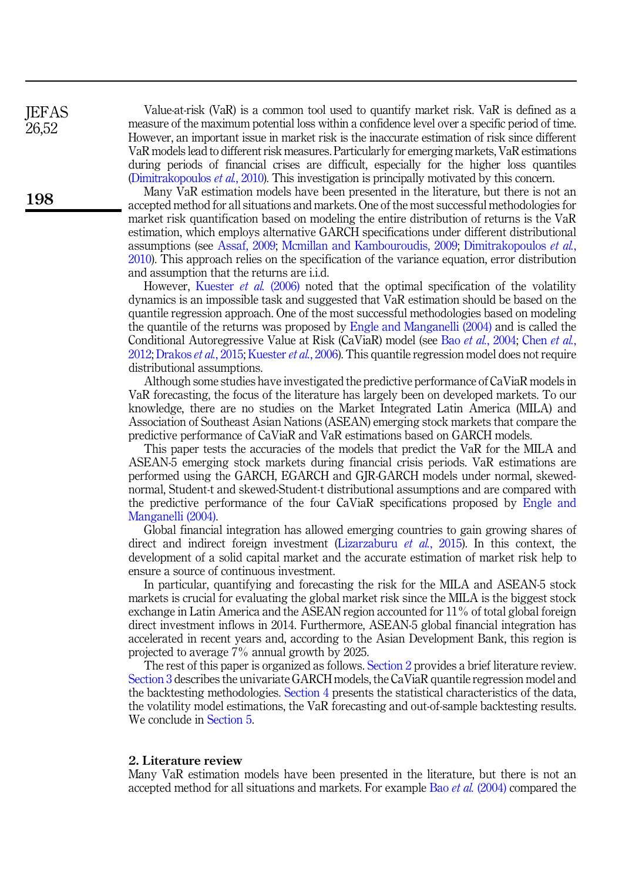Value-at-risk (VaR) is a common tool used to quantify market risk. VaR is defined as a measure of the maximum potential loss within a confidence level over a specific period of time. However, an important issue in market risk is the inaccurate estimation of risk since different VaR models lead to different risk measures. Particularly for emerging markets, VaR estimations during periods of financial crises are difficult, especially for the higher loss quantiles [\(Dimitrakopoulos](#page-23-0) et al., 2010). This investigation is principally motivated by this concern.

Many VaR estimation models have been presented in the literature, but there is not an accepted method for all situations and markets. One of the most successful methodologies for market risk quantification based on modeling the entire distribution of returns is the VaR estimation, which employs alternative GARCH specifications under different distributional assumptions (see [Assaf, 2009;](#page-23-1) [Mcmillan and Kambouroudis, 2009](#page-24-0); [Dimitrakopoulos](#page-23-0) et al., [2010\)](#page-23-0). This approach relies on the specification of the variance equation, error distribution and assumption that the returns are i.i.d.

However, [Kuester](#page-24-1) et al. (2006) noted that the optimal specification of the volatility dynamics is an impossible task and suggested that VaR estimation should be based on the quantile regression approach. One of the most successful methodologies based on modeling the quantile of the returns was proposed by [Engle and Manganelli \(2004\)](#page-23-2) and is called the Conditional Autoregressive Value at Risk (CaViaR) model (see Bao et al.[, 2004;](#page-23-3) [Chen](#page-23-4) et al., [2012;](#page-23-4) [Drakos](#page-23-5) *et al.*, 2015; [Kuester](#page-24-1) *et al.*, 2006). This quantile regression model does not require distributional assumptions.

Although some studies have investigated the predictive performance of CaViaR models in VaR forecasting, the focus of the literature has largely been on developed markets. To our knowledge, there are no studies on the Market Integrated Latin America (MILA) and Association of Southeast Asian Nations (ASEAN) emerging stock markets that compare the predictive performance of CaViaR and VaR estimations based on GARCH models.

This paper tests the accuracies of the models that predict the VaR for the MILA and ASEAN-5 emerging stock markets during financial crisis periods. VaR estimations are performed using the GARCH, EGARCH and GJR-GARCH models under normal, skewednormal, Student-t and skewed-Student-t distributional assumptions and are compared with the predictive performance of the four CaViaR specifications proposed by [Engle and](#page-23-2) [Manganelli \(2004\).](#page-23-2)

Global financial integration has allowed emerging countries to gain growing shares of direct and indirect foreign investment ([Lizarzaburu](#page-24-2) *et al.*, 2015). In this context, the development of a solid capital market and the accurate estimation of market risk help to ensure a source of continuous investment.

In particular, quantifying and forecasting the risk for the MILA and ASEAN-5 stock markets is crucial for evaluating the global market risk since the MILA is the biggest stock exchange in Latin America and the ASEAN region accounted for 11% of total global foreign direct investment inflows in 2014. Furthermore, ASEAN-5 global financial integration has accelerated in recent years and, according to the Asian Development Bank, this region is projected to average 7% annual growth by 2025.

The rest of this paper is organized as follows. [Section 2](#page-1-0) provides a brief literature review. [Section 3](#page-3-0) describes the univariate GARCH models, the CaViaR quantile regression model and the backtesting methodologies. [Section 4](#page-6-0) presents the statistical characteristics of the data, the volatility model estimations, the VaR forecasting and out-of-sample backtesting results. We conclude in [Section 5.](#page-22-0)

#### <span id="page-1-0"></span>2. Literature review

Many VaR estimation models have been presented in the literature, but there is not an accepted method for all situations and markets. For example Bao et al. [\(2004\)](#page-23-3) compared the

**IEFAS** 26,52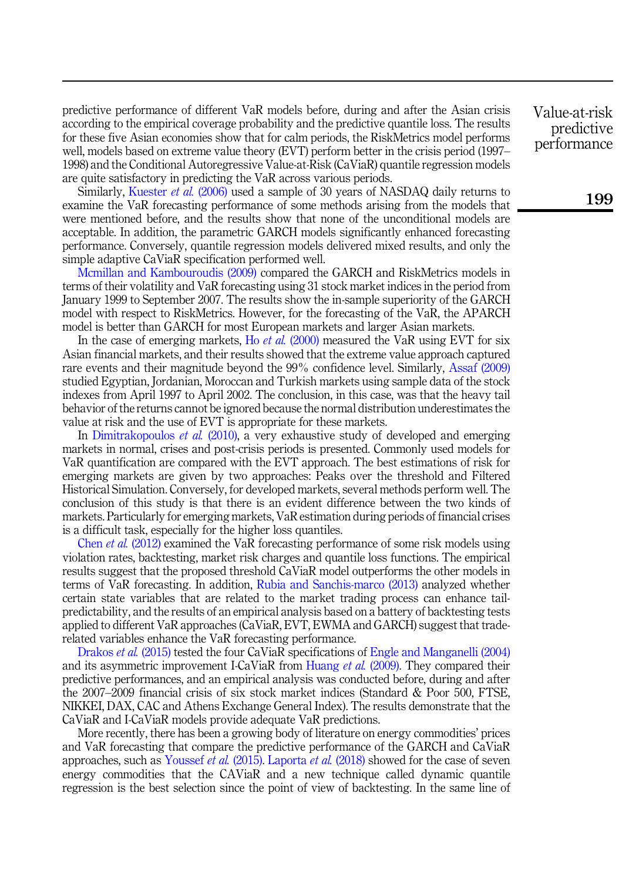predictive performance of different VaR models before, during and after the Asian crisis according to the empirical coverage probability and the predictive quantile loss. The results for these five Asian economies show that for calm periods, the RiskMetrics model performs well, models based on extreme value theory (EVT) perform better in the crisis period (1997– 1998) and the Conditional Autoregressive Value-at-Risk (CaViaR) quantile regression models are quite satisfactory in predicting the VaR across various periods.

Similarly, [Kuester](#page-24-1) et al. (2006) used a sample of 30 years of NASDAQ daily returns to examine the VaR forecasting performance of some methods arising from the models that were mentioned before, and the results show that none of the unconditional models are acceptable. In addition, the parametric GARCH models significantly enhanced forecasting performance. Conversely, quantile regression models delivered mixed results, and only the simple adaptive CaViaR specification performed well.

[Mcmillan and Kambouroudis \(2009\)](#page-24-0) compared the GARCH and RiskMetrics models in terms of their volatility and VaR forecasting using 31 stock market indices in the period from January 1999 to September 2007. The results show the in-sample superiority of the GARCH model with respect to RiskMetrics. However, for the forecasting of the VaR, the APARCH model is better than GARCH for most European markets and larger Asian markets.

In the case of emerging markets, Ho *et al.* [\(2000\)](#page-23-6) measured the VaR using EVT for six Asian financial markets, and their results showed that the extreme value approach captured rare events and their magnitude beyond the 99% confidence level. Similarly, [Assaf \(2009\)](#page-23-1) studied Egyptian, Jordanian, Moroccan and Turkish markets using sample data of the stock indexes from April 1997 to April 2002. The conclusion, in this case, was that the heavy tail behavior of the returns cannot be ignored because the normal distribution underestimates the value at risk and the use of EVT is appropriate for these markets.

In [Dimitrakopoulos](#page-23-0) et al. (2010), a very exhaustive study of developed and emerging markets in normal, crises and post-crisis periods is presented. Commonly used models for VaR quantification are compared with the EVT approach. The best estimations of risk for emerging markets are given by two approaches: Peaks over the threshold and Filtered Historical Simulation. Conversely, for developed markets, several methods perform well. The conclusion of this study is that there is an evident difference between the two kinds of markets. Particularly for emerging markets, VaR estimation during periods of financial crises is a difficult task, especially for the higher loss quantiles.

Chen et al. [\(2012\)](#page-23-4) examined the VaR forecasting performance of some risk models using violation rates, backtesting, market risk charges and quantile loss functions. The empirical results suggest that the proposed threshold CaViaR model outperforms the other models in terms of VaR forecasting. In addition, [Rubia and Sanchis-marco \(2013\)](#page-24-3) analyzed whether certain state variables that are related to the market trading process can enhance tailpredictability, and the results of an empirical analysis based on a battery of backtesting tests applied to different VaR approaches (CaViaR, EVT, EWMA and GARCH) suggest that traderelated variables enhance the VaR forecasting performance.

[Drakos](#page-23-5) *et al.* (2015) tested the four CaViaR specifications of [Engle and Manganelli \(2004\)](#page-23-2) and its asymmetric improvement I-CaViaR from [Huang](#page-23-7) *et al.* (2009). They compared their predictive performances, and an empirical analysis was conducted before, during and after the 2007–2009 financial crisis of six stock market indices (Standard & Poor 500, FTSE, NIKKEI, DAX, CAC and Athens Exchange General Index). The results demonstrate that the CaViaR and I-CaViaR models provide adequate VaR predictions.

More recently, there has been a growing body of literature on energy commodities' prices and VaR forecasting that compare the predictive performance of the GARCH and CaViaR approaches, such as [Youssef](#page-24-4) et al. (2015). [Laporta](#page-24-5) et al. (2018) showed for the case of seven energy commodities that the CAViaR and a new technique called dynamic quantile regression is the best selection since the point of view of backtesting. In the same line of Value-at-risk predictive performance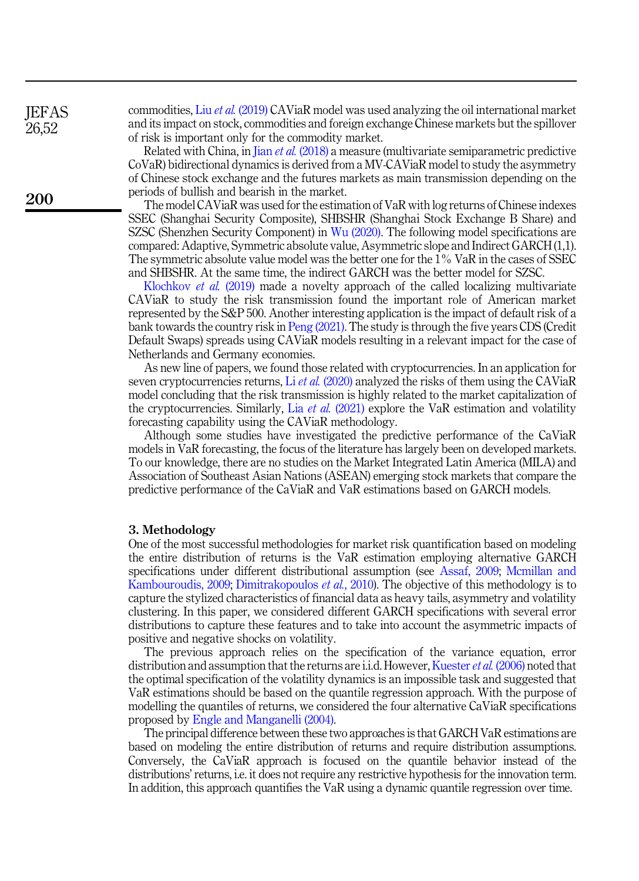**IEFAS** 26,52

200

commodities, Liu et al. [\(2019\)](#page-24-6) CAViaR model was used analyzing the oil international market and its impact on stock, commodities and foreign exchange Chinese markets but the spillover of risk is important only for the commodity market.

Related with China, in Jian et al. [\(2018\)](#page-23-8) a measure (multivariate semiparametric predictive CoVaR) bidirectional dynamics is derived from a MV-CAViaR model to study the asymmetry of Chinese stock exchange and the futures markets as main transmission depending on the periods of bullish and bearish in the market.

The model CAViaR was used for the estimation of VaR with log returns of Chinese indexes SSEC (Shanghai Security Composite), SHBSHR (Shanghai Stock Exchange B Share) and SZSC (Shenzhen Security Component) in [Wu \(2020\)](#page-24-7). The following model specifications are compared: Adaptive, Symmetric absolute value, Asymmetric slope and Indirect GARCH (1,1). The symmetric absolute value model was the better one for the 1% VaR in the cases of SSEC and SHBSHR. At the same time, the indirect GARCH was the better model for SZSC.

[Klochkov](#page-24-8) et al. (2019) made a novelty approach of the called localizing multivariate CAViaR to study the risk transmission found the important role of American market represented by the S&P 500. Another interesting application is the impact of default risk of a bank towards the country risk in [Peng \(2021\).](#page-24-9) The study is through the five years CDS (Credit Default Swaps) spreads using CAViaR models resulting in a relevant impact for the case of Netherlands and Germany economies.

As new line of papers, we found those related with cryptocurrencies. In an application for seven cryptocurrencies returns, Li *et al.* [\(2020\)](#page-24-10) analyzed the risks of them using the CAViaR model concluding that the risk transmission is highly related to the market capitalization of the cryptocurrencies. Similarly, Lia *et al.* [\(2021\)](#page-24-11) explore the VaR estimation and volatility forecasting capability using the CAViaR methodology.

Although some studies have investigated the predictive performance of the CaViaR models in VaR forecasting, the focus of the literature has largely been on developed markets. To our knowledge, there are no studies on the Market Integrated Latin America (MILA) and Association of Southeast Asian Nations (ASEAN) emerging stock markets that compare the predictive performance of the CaViaR and VaR estimations based on GARCH models.

#### <span id="page-3-0"></span>3. Methodology

One of the most successful methodologies for market risk quantification based on modeling the entire distribution of returns is the VaR estimation employing alternative GARCH specifications under different distributional assumption (see [Assaf, 2009](#page-23-1); [Mcmillan and](#page-24-0) [Kambouroudis, 2009;](#page-24-0) [Dimitrakopoulos](#page-23-0) et al., 2010). The objective of this methodology is to capture the stylized characteristics of financial data as heavy tails, asymmetry and volatility clustering. In this paper, we considered different GARCH specifications with several error distributions to capture these features and to take into account the asymmetric impacts of positive and negative shocks on volatility.

The previous approach relies on the specification of the variance equation, error distribution and assumption that the returns are i.i.d. However, [Kuester](#page-24-1) *et al.* (2006) noted that the optimal specification of the volatility dynamics is an impossible task and suggested that VaR estimations should be based on the quantile regression approach. With the purpose of modelling the quantiles of returns, we considered the four alternative CaViaR specifications proposed by [Engle and Manganelli \(2004\).](#page-23-2)

The principal difference between these two approaches is that GARCH VaR estimations are based on modeling the entire distribution of returns and require distribution assumptions. Conversely, the CaViaR approach is focused on the quantile behavior instead of the distributions' returns, i.e. it does not require any restrictive hypothesis for the innovation term. In addition, this approach quantifies the VaR using a dynamic quantile regression over time.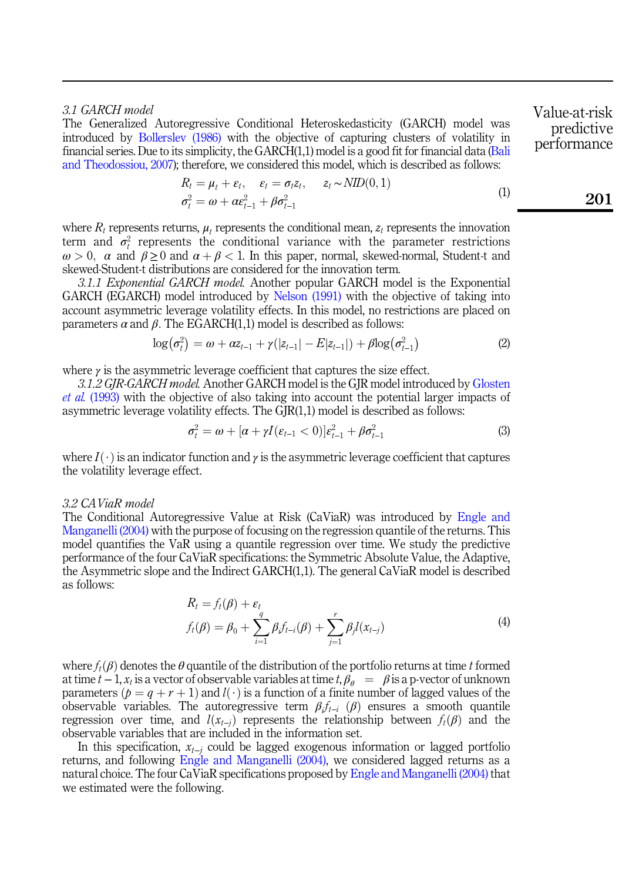# 3.1 GARCH model

<span id="page-4-0"></span>The Generalized Autoregressive Conditional Heteroskedasticity (GARCH) model was introduced by [Bollerslev \(1986\)](#page-23-9) with the objective of capturing clusters of volatility in financial series. Due to its simplicity, the GARCH(1,1) model is a good fit for financial data [\(Bali](#page-23-10) [and Theodossiou, 2007\)](#page-23-10); therefore, we considered this model, which is described as follows:

$$
R_t = \mu_t + \varepsilon_t, \quad \varepsilon_t = \sigma_t z_t, \quad z_t \sim NID(0, 1)
$$
  
\n
$$
\sigma_t^2 = \omega + \alpha \varepsilon_{t-1}^2 + \beta \sigma_{t-1}^2
$$
\n(1)

where  $R_t$  represents returns,  $\mu_t$  represents the conditional mean,  $z_t$  represents the innovation term and  $\sigma_t^2$  represents the conditional variance with the parameter restrictions  $\omega > 0$ ,  $\alpha$  and  $\beta \ge 0$  and  $\alpha + \beta < 1$ . In this paper, normal, skewed-normal, Student-t and skewed-Student-t distributions are considered for the innovation term.

3.1.1 Exponential GARCH model. Another popular GARCH model is the Exponential GARCH (EGARCH) model introduced by [Nelson \(1991\)](#page-24-12) with the objective of taking into account asymmetric leverage volatility effects. In this model, no restrictions are placed on parameters  $\alpha$  and  $\beta$ . The EGARCH(1,1) model is described as follows:

$$
\log(\sigma_t^2) = \omega + \alpha z_{t-1} + \gamma(|z_{t-1}| - E|z_{t-1}|) + \beta \log(\sigma_{t-1}^2)
$$
\n(2)

where  $\gamma$  is the asymmetric leverage coefficient that captures the size effect.

3.1.2 GJR-GARCH model. Another GARCH model is the GJR model introduced by [Glosten](#page-23-11) et al. [\(1993\)](#page-23-11) with the objective of also taking into account the potential larger impacts of asymmetric leverage volatility effects. The GJR(1,1) model is described as follows:

$$
\sigma_t^2 = \omega + [\alpha + \gamma I(\varepsilon_{t-1} < 0)]\varepsilon_{t-1}^2 + \beta \sigma_{t-1}^2 \tag{3}
$$

where  $I(\cdot)$  is an indicator function and  $\gamma$  is the asymmetric leverage coefficient that captures the volatility leverage effect.

## 3.2 CAViaR model

The Conditional Autoregressive Value at Risk (CaViaR) was introduced by [Engle and](#page-23-2) [Manganelli \(2004\)](#page-23-2) with the purpose of focusing on the regression quantile of the returns. This model quantifies the VaR using a quantile regression over time. We study the predictive performance of the four CaViaR specifications: the Symmetric Absolute Value, the Adaptive, the Asymmetric slope and the Indirect GARCH(1,1). The general CaViaR model is described as follows:

$$
R_{t} = f_{t}(\beta) + \varepsilon_{t}
$$
  

$$
f_{t}(\beta) = \beta_{0} + \sum_{i=1}^{q} \beta_{i} f_{t-i}(\beta) + \sum_{j=1}^{r} \beta_{j} l(x_{t-j})
$$
 (4)

where  $f_t(\beta)$  denotes the  $\theta$  quantile of the distribution of the portfolio returns at time t formed at time  $t-1$ ,  $x_t$  is a vector of observable variables at time t,  $\beta_{\theta} = \beta$  is a p-vector of unknown parameters  $(p = q + r + 1)$  and  $l(\cdot)$  is a function of a finite number of lagged values of the observable variables. The autoregressive term  $\beta_i f_{t-i}$  ( $\beta$ ) ensures a smooth quantile regression over time, and  $l(x_{t-j})$  represents the relationship between  $f_t(\beta)$  and the observable variables that are included in the information set.

In this specification,  $x_{t-i}$  could be lagged exogenous information or lagged portfolio returns, and following [Engle and Manganelli \(2004\),](#page-23-2) we considered lagged returns as a natural choice. The four CaViaR specifications proposed by [Engle and Manganelli \(2004\)](#page-23-2) that we estimated were the following.

Value-at-risk predictive performance

01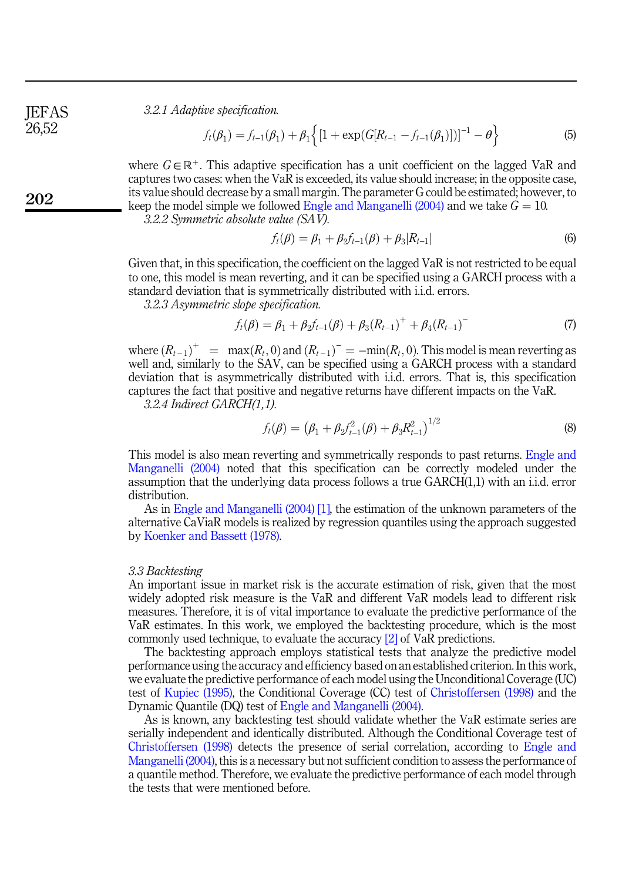3.2.1 Adaptive specification.

$$
f_t(\beta_1) = f_{t-1}(\beta_1) + \beta_1 \left\{ \left[ 1 + \exp(G[R_{t-1} - f_{t-1}(\beta_1))] \right]^{-1} - \theta \right\}
$$
 (5)

where  $G \in \mathbb{R}^+$ . This adaptive specification has a unit coefficient on the lagged VaR and captures two cases: when the VaR is exceeded, its value should increase; in the opposite case, its value should decrease by a small margin. The parameter G could be estimated; however, to keep the model simple we followed [Engle and Manganelli \(2004\)](#page-23-2) and we take  $G = 10$ .

3.2.2 Symmetric absolute value (SAV).

$$
f_t(\beta) = \beta_1 + \beta_2 f_{t-1}(\beta) + \beta_3 |R_{t-1}|
$$
\n(6)

Given that, in this specification, the coefficient on the lagged VaR is not restricted to be equal to one, this model is mean reverting, and it can be specified using a GARCH process with a standard deviation that is symmetrically distributed with i.i.d. errors.

3.2.3 Asymmetric slope specification.

$$
f_t(\beta) = \beta_1 + \beta_2 f_{t-1}(\beta) + \beta_3 (R_{t-1})^+ + \beta_4 (R_{t-1})^- \tag{7}
$$

where  $(R_{t-1})^+$  =  $\max(R_t, 0)$  and  $(R_{t-1})^-$  =  $-\min(R_t, 0)$ . This model is mean reverting as well and, similarly to the SAV, can be specified using a GARCH process with a standard deviation that is asymmetrically distributed with i.i.d. errors. That is, this specification captures the fact that positive and negative returns have different impacts on the VaR.

3.2.4 Indirect GARCH(1,1).

$$
f_t(\beta) = (\beta_1 + \beta_2 f_{t-1}^2(\beta) + \beta_3 R_{t-1}^2)^{1/2}
$$
\n(8)

This model is also mean reverting and symmetrically responds to past returns. [Engle and](#page-23-2) [Manganelli \(2004\)](#page-23-2) noted that this specification can be correctly modeled under the assumption that the underlying data process follows a true GARCH(1,1) with an i.i.d. error distribution.

As in [Engle and Manganelli \(2004\)](#page-23-2) [\[1\],](#page-23-12) the estimation of the unknown parameters of the alternative CaViaR models is realized by regression quantiles using the approach suggested by [Koenker and Bassett \(1978\).](#page-24-13)

#### 3.3 Backtesting

An important issue in market risk is the accurate estimation of risk, given that the most widely adopted risk measure is the VaR and different VaR models lead to different risk measures. Therefore, it is of vital importance to evaluate the predictive performance of the VaR estimates. In this work, we employed the backtesting procedure, which is the most commonly used technique, to evaluate the accuracy [\[2\]](#page-23-13) of VaR predictions.

The backtesting approach employs statistical tests that analyze the predictive model performance using the accuracy and efficiency based on an established criterion. In this work, we evaluate the predictive performance of each model using the Unconditional Coverage (UC) test of [Kupiec \(1995\)](#page-24-14), the Conditional Coverage (CC) test of [Christoffersen \(1998\)](#page-23-14) and the Dynamic Quantile (DQ) test of [Engle and Manganelli \(2004\)](#page-23-2).

As is known, any backtesting test should validate whether the VaR estimate series are serially independent and identically distributed. Although the Conditional Coverage test of [Christoffersen \(1998\)](#page-23-14) detects the presence of serial correlation, according to [Engle and](#page-23-2) [Manganelli \(2004\),](#page-23-2) this is a necessary but not sufficient condition to assess the performance of a quantile method. Therefore, we evaluate the predictive performance of each model through the tests that were mentioned before.

202

**IEFAS** 26,52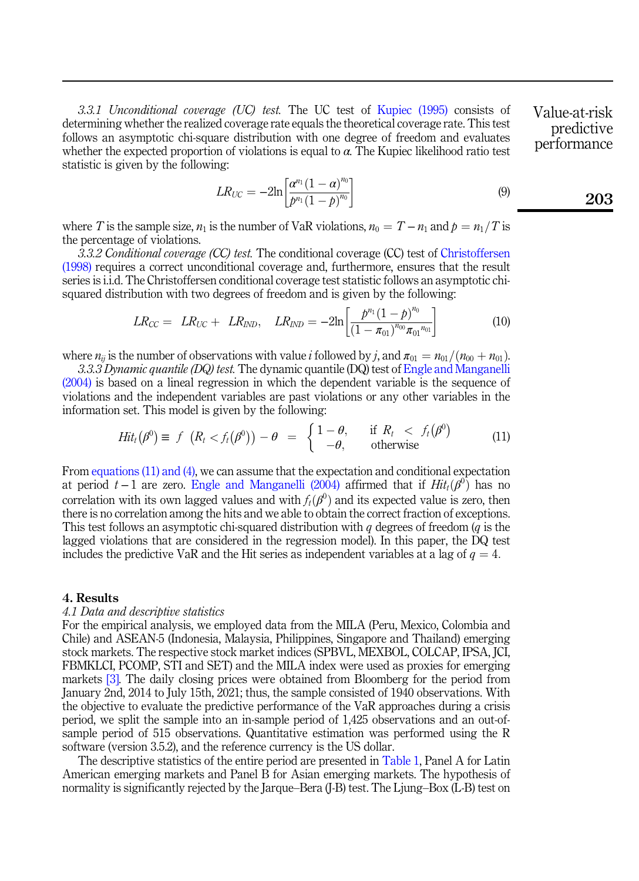3.3.1 Unconditional coverage (UC) test. The UC test of [Kupiec \(1995\)](#page-24-14) consists of determining whether the realized coverage rate equals the theoretical coverage rate. This test follows an asymptotic chi-square distribution with one degree of freedom and evaluates whether the expected proportion of violations is equal to  $\alpha$ . The Kupiec likelihood ratio test statistic is given by the following:

$$
LR_{UC} = -2\ln\left[\frac{\alpha^{n_1}(1-\alpha)^{n_0}}{p^{n_1}(1-p)^{n_0}}\right]
$$
 (9) 203

Value-at-risk predictive performance

where T is the sample size,  $n_1$  is the number of VaR violations,  $n_0 = T - n_1$  and  $p = n_1/T$  is the percentage of violations.

3.3.2 Conditional coverage (CC) test. The conditional coverage (CC) test of [Christoffersen](#page-23-14) [\(1998\)](#page-23-14) requires a correct unconditional coverage and, furthermore, ensures that the result series is i.i.d. The Christoffersen conditional coverage test statistic follows an asymptotic chisquared distribution with two degrees of freedom and is given by the following:

$$
LR_{CC} = LR_{UC} + LR_{IND}, LR_{IND} = -2\ln\left[\frac{p^{n_1}(1-p)^{n_0}}{(1-\pi_{01})^{n_{00}}\pi_{01}^{n_{01}}}\right]
$$
(10)

where  $n_{ii}$  is the number of observations with value i followed by j, and  $\pi_{01} = n_{01}/(n_{00}+n_{01})$ .

<span id="page-6-1"></span>3.3.3 Dynamic quantile (DQ) test. The dynamic quantile (DQ) test of [Engle and Manganelli](#page-23-2) [\(2004\)](#page-23-2) is based on a lineal regression in which the dependent variable is the sequence of violations and the independent variables are past violations or any other variables in the information set. This model is given by the following:

$$
Hit_t(\beta^0) \equiv f \ \left( R_t < f_t(\beta^0) \right) - \theta \ = \ \begin{cases} 1 - \theta, & \text{if } R_t < f_t(\beta^0) \\ -\theta, & \text{otherwise} \end{cases} \tag{11}
$$

From [equations \(11\) and \(4\),](#page-6-1) we can assume that the expectation and conditional expectation at period  $t-1$  are zero. [Engle and Manganelli \(2004\)](#page-23-2) affirmed that if  $Hit_t(\beta^0)$  has no correlation with its own lagged values and with  $f_t(\beta^0)$  and its expected value is zero, then there is no correlation among the hits and we able to obtain the correct fraction of exceptions. This test follows an asymptotic chi-squared distribution with  $q$  degrees of freedom  $(q$  is the lagged violations that are considered in the regression model). In this paper, the DQ test includes the predictive VaR and the Hit series as independent variables at a lag of  $q = 4$ .

#### <span id="page-6-0"></span>4. Results

# 4.1 Data and descriptive statistics

For the empirical analysis, we employed data from the MILA (Peru, Mexico, Colombia and Chile) and ASEAN-5 (Indonesia, Malaysia, Philippines, Singapore and Thailand) emerging stock markets. The respective stock market indices (SPBVL, MEXBOL, COLCAP, IPSA, JCI, FBMKLCI, PCOMP, STI and SET) and the MILA index were used as proxies for emerging markets [\[3\].](#page-23-15) The daily closing prices were obtained from Bloomberg for the period from January 2nd, 2014 to July 15th, 2021; thus, the sample consisted of 1940 observations. With the objective to evaluate the predictive performance of the VaR approaches during a crisis period, we split the sample into an in-sample period of 1,425 observations and an out-ofsample period of 515 observations. Quantitative estimation was performed using the R software (version 3.5.2), and the reference currency is the US dollar.

The descriptive statistics of the entire period are presented in [Table 1,](#page-7-0) Panel A for Latin American emerging markets and Panel B for Asian emerging markets. The hypothesis of normality is significantly rejected by the Jarque–Bera (J-B) test. The Ljung–Box (L-B) test on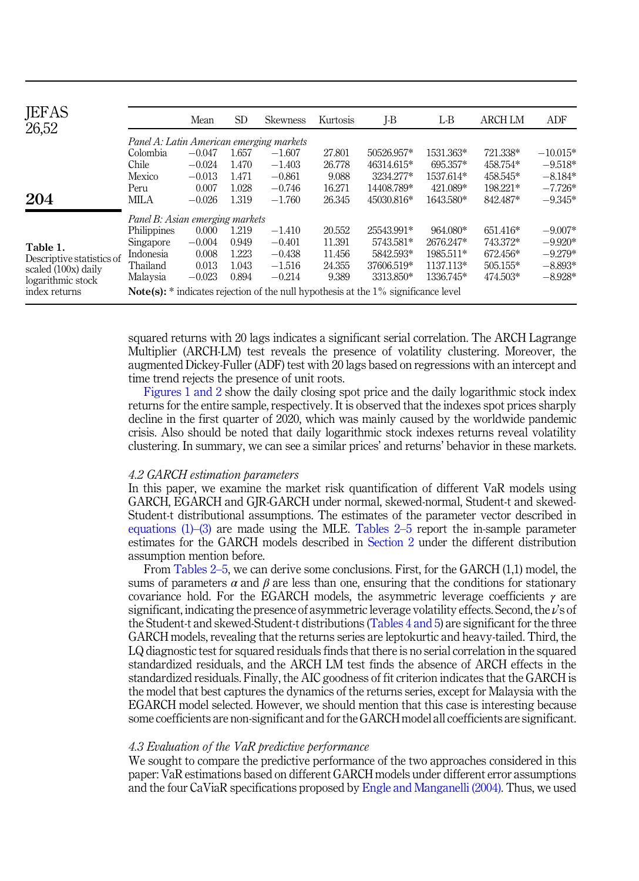<span id="page-7-0"></span>

| <b>JEFAS</b><br>26,52     |                                          | Mean     | <b>SD</b> | <b>Skewness</b> | Kurtosis | I-B                                                                                            | L-B       | <b>ARCH LM</b> | ADF        |
|---------------------------|------------------------------------------|----------|-----------|-----------------|----------|------------------------------------------------------------------------------------------------|-----------|----------------|------------|
|                           | Panel A: Latin American emerging markets |          |           |                 |          |                                                                                                |           |                |            |
|                           | Colombia                                 | $-0.047$ | 1.657     | $-1.607$        | 27.801   | 50526.957*                                                                                     | 1531.363* | 721.338*       | $-10.015*$ |
|                           | Chile                                    | $-0.024$ | 1.470     | $-1.403$        | 26.778   | 46314.615*                                                                                     | 695.357*  | 458.754*       | $-9.518*$  |
|                           | Mexico                                   | $-0.013$ | 1.471     | $-0.861$        | 9.088    | 3234.277*                                                                                      | 1537.614* | 458.545*       | $-8.184*$  |
|                           | Peru                                     | 0.007    | 1.028     | $-0.746$        | 16.271   | 14408.789*                                                                                     | 421.089*  | 198.221*       | $-7.726*$  |
| 204                       | MILA                                     | $-0.026$ | 1.319     | $-1.760$        | 26.345   | 45030.816*                                                                                     | 1643.580* | 842.487*       | $-9.345*$  |
|                           | Panel B: Asian emerging markets          |          |           |                 |          |                                                                                                |           |                |            |
|                           | Philippines                              | 0.000    | 1.219     | $-1.410$        | 20.552   | 25543.991*                                                                                     | 964.080*  | 651.416*       | $-9.007*$  |
| Table 1.                  | Singapore                                | $-0.004$ | 0.949     | $-0.401$        | 11.391   | 5743.581*                                                                                      | 2676.247* | 743.372*       | $-9.920*$  |
| Descriptive statistics of | Indonesia                                | 0.008    | 1.223     | $-0.438$        | 11.456   | 5842.593*                                                                                      | 1985.511* | 672.456*       | $-9.279*$  |
| scaled (100x) daily       | Thailand                                 | 0.013    | 1.043     | $-1.516$        | 24.355   | 37606.519*                                                                                     | 1137.113* | 505.155*       | $-8.893*$  |
| logarithmic stock         | Malaysia                                 | $-0.023$ | 0.894     | $-0.214$        | 9.389    | 3313.850*                                                                                      | 1336.745* | 474.503*       | $-8.928*$  |
| index returns             |                                          |          |           |                 |          | <b>Note(s):</b> $*$ indicates rejection of the null hypothesis at the $1\%$ significance level |           |                |            |

squared returns with 20 lags indicates a significant serial correlation. The ARCH Lagrange Multiplier (ARCH-LM) test reveals the presence of volatility clustering. Moreover, the augmented Dickey-Fuller (ADF) test with 20 lags based on regressions with an intercept and time trend rejects the presence of unit roots.

[Figures 1 and 2](#page-8-0) show the daily closing spot price and the daily logarithmic stock index returns for the entire sample, respectively. It is observed that the indexes spot prices sharply decline in the first quarter of 2020, which was mainly caused by the worldwide pandemic crisis. Also should be noted that daily logarithmic stock indexes returns reveal volatility clustering. In summary, we can see a similar prices' and returns' behavior in these markets.

# 4.2 GARCH estimation parameters

In this paper, we examine the market risk quantification of different VaR models using GARCH, EGARCH and GJR-GARCH under normal, skewed-normal, Student-t and skewed-Student-t distributional assumptions. The estimates of the parameter vector described in equations  $(1)$ – $(3)$  are made using the MLE. [Tables 2](#page-10-0)–[5](#page-10-0) report the in-sample parameter estimates for the GARCH models described in [Section 2](#page-1-0) under the different distribution assumption mention before.

From [Tables 2](#page-10-0)–[5](#page-10-0), we can derive some conclusions. First, for the GARCH (1,1) model, the sums of parameters  $\alpha$  and  $\beta$  are less than one, ensuring that the conditions for stationary covariance hold. For the EGARCH models, the asymmetric leverage coefficients  $\gamma$  are significant, indicating the presence of asymmetric leverage volatility effects. Second, the  $\nu$ 's of the Student-t and skewed-Student-t distributions ([Tables 4 and 5\)](#page-14-0) are significant for the three GARCH models, revealing that the returns series are leptokurtic and heavy-tailed. Third, the LQ diagnostic test for squared residuals finds that there is no serial correlation in the squared standardized residuals, and the ARCH LM test finds the absence of ARCH effects in the standardized residuals. Finally, the AIC goodness of fit criterion indicates that the GARCH is the model that best captures the dynamics of the returns series, except for Malaysia with the EGARCH model selected. However, we should mention that this case is interesting because some coefficients are non-significant and for the GARCH model all coefficients are significant.

## 4.3 Evaluation of the VaR predictive performance

We sought to compare the predictive performance of the two approaches considered in this paper: VaR estimations based on different GARCH models under different error assumptions and the four CaViaR specifications proposed by [Engle and Manganelli \(2004\).](#page-23-2) Thus, we used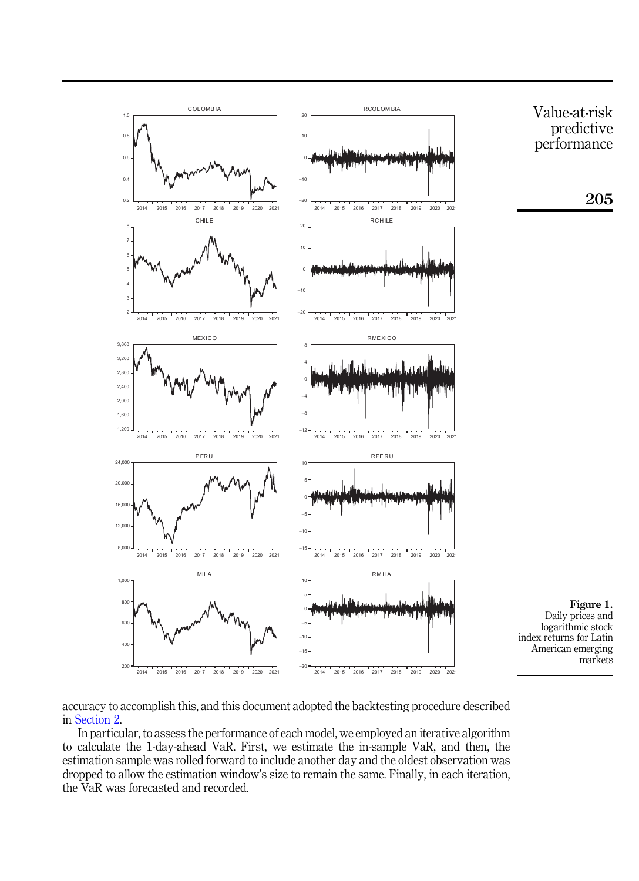<span id="page-8-0"></span>

accuracy to accomplish this, and this document adopted the backtesting procedure described in [Section 2](#page-1-0).

In particular, to assess the performance of each model, we employed an iterative algorithm to calculate the 1-day-ahead VaR. First, we estimate the in-sample VaR, and then, the estimation sample was rolled forward to include another day and the oldest observation was dropped to allow the estimation window's size to remain the same. Finally, in each iteration, the VaR was forecasted and recorded.

Value-at-risk predictive performance

205

Figure 1. Daily prices and logarithmic stock

markets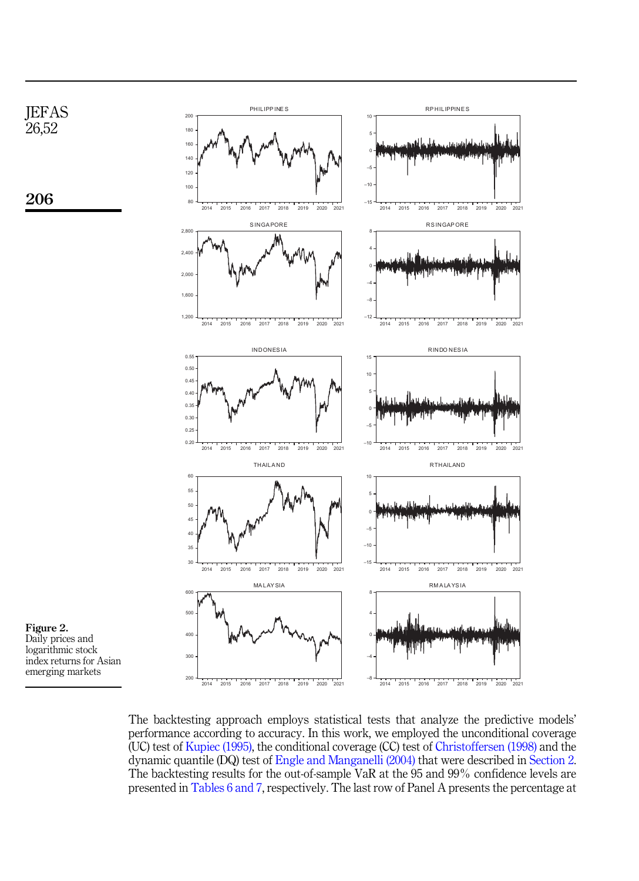

The backtesting approach employs statistical tests that analyze the predictive models' performance according to accuracy. In this work, we employed the unconditional coverage (UC) test of [Kupiec \(1995\)](#page-24-14), the conditional coverage (CC) test of [Christoffersen \(1998\)](#page-23-14) and the dynamic quantile (DQ) test of [Engle and Manganelli \(2004\)](#page-23-2) that were described in [Section 2](#page-1-0). The backtesting results for the out-of-sample VaR at the 95 and 99% confidence levels are presented in [Tables 6 and 7](#page-18-0), respectively. The last row of Panel A presents the percentage at

Figure 2. Daily prices and logarithmic stock index returns for Asian emerging markets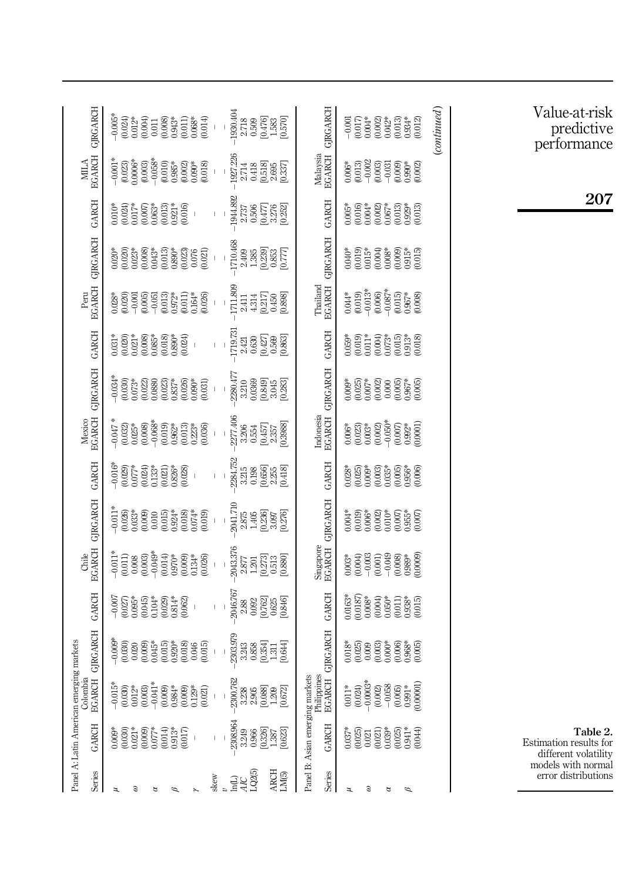<span id="page-10-0"></span>

| <b>GIRGARCH</b>                          | $\begin{array}{l} \mathbf{1} & \mathbf{1} & \mathbf{1} & \mathbf{1} \\ \mathbf{1} & \mathbf{1} & \mathbf{1} & \mathbf{1} \\ \mathbf{1} & \mathbf{1} & \mathbf{1} & \mathbf{1} \\ \mathbf{1} & \mathbf{1} & \mathbf{1} & \mathbf{1} \\ \mathbf{1} & \mathbf{1} & \mathbf{1} & \mathbf{1} \\ \mathbf{1} & \mathbf{1} & \mathbf{1} & \mathbf{1} \\ \mathbf{1} & \mathbf{1} & \mathbf{1} & \mathbf{1} \\ \mathbf{1} & \mathbf{1} & \mathbf$<br>$\overline{1}$ | 1930.404<br>2.718<br>2.509<br>0.576<br>1.585<br>1.576                                           | GIRGARCH<br>$\begin{array}{l} -0.001\\ -0.017\\ 0.0002\\ 0.0003\\ 0.013\\ 0.013\\ 0.013\\ 0.012\\ 0.012\\ 0.012 \end{array}$                                                                                                                                                            | $\left( {continued} \right)$ |
|------------------------------------------|-----------------------------------------------------------------------------------------------------------------------------------------------------------------------------------------------------------------------------------------------------------------------------------------------------------------------------------------------------------------------------------------------------------------------------------------------------------|-------------------------------------------------------------------------------------------------|-----------------------------------------------------------------------------------------------------------------------------------------------------------------------------------------------------------------------------------------------------------------------------------------|------------------------------|
| $$\tt MHA$$ EGARCH                       | $\begin{array}{l} * \\ 0.01 \\ 0.023 \\ 0.000 \\ 0.000 \\ 0.000 \\ 0.000 \\ 0.000 \\ 0.000 \\ 0.000 \\ 0.000 \\ 0.000 \\ 0.000 \\ 0.000 \\ 0.000 \\ 0.000 \\ 0.000 \\ 0.000 \\ 0.000 \\ 0.000 \\ 0.000 \\ 0.000 \\ 0.000 \\ 0.000 \\ 0.000 \\ 0.000 \\ 0.000 \\ 0.000 \\ 0.000 \\ 0.000 \\ 0.000 \\ 0$                                                                                                                                                    | 285<br>2714 86 86 87<br>28 86 86 87<br>28 86 88 89                                              | Malaysia<br>EGARCH                                                                                                                                                                                                                                                                      |                              |
| <b>GARCH</b>                             | $\begin{array}{l} 0.010* \\ 0.024) \\ 0.017* \\ 0.0000 \\ 0.0013 \\ 0.0013 \\ 0.013 \\ 0.010 \\ 0.010 \\ 0.016 \\ \end{array}$<br>$\mathsf I$                                                                                                                                                                                                                                                                                                             | 1944.892<br>2.737<br>2.7376<br>2.3762<br>0.32762                                                | GARCH<br>**<br>0.016)<br>0.002)<br>0.005**<br>0.013)<br>0.013)                                                                                                                                                                                                                          |                              |
| <b>GIRGARCH</b>                          | $\begin{array}{l} 0.020\\ 0.020\\ 0.020\\ 0.03\\ 0.03\\ 0.03\\ 0.03\\ 0.03\\ 0.03\\ 0.03\\ 0.03\\ 0.03\\ 0.03\\ 0.03\\ 0.03\\ 0.03\\ 0.03\\ 0.03\\ 0.03\\ 0.03\\ 0.03\\ 0.03\\ 0.03\\ 0.03\\ 0.03\\ 0.03\\ 0.03\\ 0.03\\ 0.03\\ 0.03\\ 0.03\\ 0.03\\ 0.03\\ 0.03\\ 0.03\\$                                                                                                                                                                                | 385<br>24985<br>243853<br>1102601                                                               | <b>GJRGARCH</b><br>$\begin{array}{l} 0.040* \\ 0.019) \\ 0.019) \\ 0.0000 \\ 0.0000 \\ 0.015) \\ 0.015) \\ 0.015) \\ 0.015) \end{array}$                                                                                                                                                |                              |
| Peru<br>EGARCH                           | $\begin{array}{l} 0.028^*\\ 0.0201\\ 0.0010\\ 0.005\\ 0.0010\\ 0.0010\\ 0.0010\\ 0.0010\\ 0.0010\\ 0.0010\\ 0.0000\\ 0.0000\\ 0.0000\\ 0.000\\ 0.000\\ 0.000\\ 0.000\\ 0.000\\ 0.000\\ 0.000\\ 0.000\\ 0.000\\ 0.000\\ 0.000\\ 0.000\\ 0.000\\ 0.000\\ 0.000\\ 0.0$<br>I.                                                                                                                                                                                 | $\begin{array}{l} 1711.808 \\ 2.41 \\ 4.314 \\ 0.450 \\ 0.450 \\ 0.898 \\ 0.898 \\ \end{array}$ | Thailand<br>EGARCH<br>$\begin{array}{l} 6.04\ast\\ 0.019\\ -0.013\\ -0.006\\ 0.007\\ -0.006\\ 0.007\\ -0.007\\ 0.008\\ 0.008\\ 0.008\\ 0.008\\ \end{array}$                                                                                                                             |                              |
| <b>GARCH</b>                             | $\begin{array}{l} *\\ 0.020\\ 0.020\\ 0.030\\ 0.030\\ 0.030\\ 0.030\\ 0.030\\ 0.030\\ 0.024\\ 0.024\\ 0.030\\ 0.030\\ 0.030\\ 0.030\\ 0.030\\ 0.030\\ 0.030\\ 0.030\\ 0.030\\ 0.030\\ 0.030\\ 0.030\\ 0.030\\ 0.030\\ 0.030\\ 0.030\\ 0.030\\ 0.030\\ 0.030\\ 0.030\\ $<br>$\vert$<br>$\overline{1}$                                                                                                                                                      | 1719.73<br>2.421<br>2.436 426 88<br>2.6 2.6 88                                                  | GARCH                                                                                                                                                                                                                                                                                   |                              |
| <b>GIRGARCH</b>                          | $\begin{array}{l} \left( \begin{array}{l} 34 \\ 0.030 \\ 0.030 \end{array} \right) \\ \left( \begin{array}{l} 0.030 \\ 0.020 \\ 0.000 \\ 0.000 \end{array} \right) \\ \left( \begin{array}{l} 0.000 \\ 0.000 \\ 0.000 \end{array} \right) \\ \left( \begin{array}{l} 0.000 \\ 0.000 \\ 0.000 \end{array} \right) \\ \left( \begin{array}{l} 0.000 \\ 0.000 \\ 0.000 \end{array} \right) \\ \left( \begin{array}{l} 0.0$                                   | 77<br>280369<br>2310369<br>23359<br>23359                                                       | <b>GIRGARCH</b>                                                                                                                                                                                                                                                                         |                              |
| Mexico<br>EGARCH                         | $\begin{array}{l} * \\ 0.017 \\ 0.023 \\ 0.008 \\ 0.009 \\ 0.009 \\ 0.009 \\ 0.009 \\ 0.009 \\ 0.009 \\ 0.000 \\ 0.000 \\ 0.000 \\ 0.000 \\ 0.000 \\ 0.000 \\ 0.000 \\ 0.000 \\ 0.000 \\ 0.000 \\ 0.000 \\ 0.000 \\ 0.000 \\ 0.000 \\ 0.000 \\ 0.000 \\ 0.000 \\ 0.000 \\ 0.000 \\ 0.000 \\ 0.000 \\ $<br>$\bar{\mathbb{F}}$                                                                                                                              | 277406<br>3.206<br>3.205457<br>2.357<br>2.3588                                                  | Indonesia<br>EGARCH<br>$\begin{array}{l} 0.0000\\ 0.00000\\ 0.00000\\ 0.00000\\ 0.00000\\ 0.00000\\ 0.00000\\ 0.00000\\ 0.0000\\ 0.0000\\ 0.0000\\ 0.0000\\ 0.0000\\ 0.0000\\ 0.0000\\ 0.0000\\ 0.0000\\ 0.0000\\ 0.0000\\ 0.0000\\ 0.0000\\ 0.0000\\ 0.0000\\ 0.0000\\ 0.0000\\ 0.000$ |                              |
| <b>GARCH</b>                             | L                                                                                                                                                                                                                                                                                                                                                                                                                                                         | 2384.75:<br>2.21.58<br>3.21.5856<br>0.41.41.81<br>0.41.41.81                                    | GARCH<br>38*<br>0.025)<br>0.003 35*<br>0.003 35*<br>0.003 36*                                                                                                                                                                                                                           |                              |
| <b>GIRGARCH</b>                          | $\begin{array}{l} * \\ 0.011 \\ 0.026 \\ 0.033 \\ 0.009 \\ 0.010 \\ 0.010 \\ 0.010 \\ 0.010 \\ 0.003 \\ 0.000 \\ 0.001 \\ 0.001 \\ 0.001 \\ 0.001 \\ 0.001 \\ 0.001 \\ 0.001 \\ 0.001 \\ 0.001 \\ 0.001 \\ 0.001 \\ 0.001 \\ 0.001 \\ 0.001 \\ 0.001 \\ 0.001 \\ 0.001 \\ 0.001 \\ 0.001 \\ 0.001 \\ $<br>Ī.                                                                                                                                              | 2041.71<br>2.875<br>2.875<br>2.997<br>2.976<br>2.976                                            | <b>GIRGARCH</b><br>$0.004*$<br>$0.019$<br>$0.006*$<br>$0.0002$<br>$0.0007$<br>$0.0007$<br>$0.0007$                                                                                                                                                                                      |                              |
| Chile<br>EGARCH                          | $\begin{array}{l} * \\ 0.011 \\ 0.008 \\ 0.0003 \\ 0.0003 \\ 0.014 \\ 0.0003 \\ 0.0003 \\ 0.0003 \\ 0.0003 \\ 0.0003 \\ 0.0003 \\ 0.0003 \\ 0.0003 \\ 0.0003 \\ 0.0003 \\ 0.0003 \\ 0.0003 \\ 0.0003 \\ 0.0003 \\ 0.0003 \\ 0.0003 \\ 0.0003 \\ 0.0003 \\ 0.0003 \\ 0.0003 \\ 0.0003 \\ 0.000$<br>$\mathbf{I}$                                                                                                                                            | 2013<br>2017<br>2017<br>2018<br>2018<br>2018                                                    | Singapore<br>EGARCH<br>$0.003*$<br>$(-0.004)$<br>$(-0.001)$<br>$(-0.001)$<br>$(-0.008)$<br>$(-0.008)$<br>$(-0.008)$                                                                                                                                                                     |                              |
| <b>GARCH</b>                             | $\begin{array}{r} -0.007 \\ -0.027 \\ 0.035^* \\ 0.045 \\ 0.045 \\ 0.029 \\ 0.029 \\ 0.029 \\ 0.0314^* \\ 0.062 \\ 0.002 \\ 0.003 \\ \end{array}$<br>$\mathsf I$<br>Ī                                                                                                                                                                                                                                                                                     | 2046.767<br>2.88<br>2.002 103<br>2.000 103<br>2.000 103                                         | GARCH<br>$\begin{array}{l} \text{0.163}^{\ast} \\ \text{0.037} \\ \text{0.008}^{\ast} \\ \text{0.004} \\ \text{0.004} \\ \text{0.011} \\ \text{0.038}^{\ast} \\ \text{0.015} \\ \text{0.015} \\ \text{0.019} \end{array}$                                                               |                              |
| GIRGARCH<br>ag markets                   | $-0.009*$<br>$\begin{array}{c} \rule{0pt}{2ex} \rule{0pt}{2ex} \rule{0pt}{2ex} \rule{0pt}{2ex} \rule{0pt}{2ex} \rule{0pt}{2ex} \rule{0pt}{2ex} \rule{0pt}{2ex} \rule{0pt}{2ex} \rule{0pt}{2ex} \rule{0pt}{2ex} \rule{0pt}{2ex} \rule{0pt}{2ex} \rule{0pt}{2ex} \rule{0pt}{2ex} \rule{0pt}{2ex} \rule{0pt}{2ex} \rule{0pt}{2ex} \rule{0pt}{2ex} \rule{0pt}{2ex} \rule{0pt}{2ex} \rule{0pt}{2ex} \rule{0pt}{2ex} \rule{0pt}{$<br>$\,$ $\,$                  | 2303.979<br>2323<br>2323<br>2005.7179441                                                        | <b>GIRGARCH</b><br>$0.018$<br>$0.025$<br>$0.000$<br>$0.000$<br>$0.000$<br>$0.000$<br>$0.000$<br>$0.005$                                                                                                                                                                                 |                              |
| Colombia<br><b>EGARCH</b>                | $-2300.762$<br>$\begin{array}{l} (0.003) \\ (0.009) \\ (0.009) \\ (0.000) \\ (0.000) \\ (0.012) \\ (0.021) \\ (0.021) \end{array}$<br>$-0.015*$<br>$0.030$<br>$0.012*$                                                                                                                                                                                                                                                                                    | [0.088]<br>[0.672]<br>3.238<br>2.905<br>1.209                                                   | Philippine<br>$\begin{array}{c} 0.011^{*}\\ 0.024)\\ 0.0003\\ 0.0002\\ 0.003\\ -0.058 \end{array}$<br>EGARCH<br>$0.991*$<br>$0.00001$<br>(0.005)                                                                                                                                        |                              |
| Panel A: Latin American emergin<br>GARCH | 2308.964<br>$\begin{array}{l} (0.030)\\ (0.021)\\ (0.009)\\ (0.077)\\ (0.014)\\ (0.017)\\ (0.017)\\ (0.017)\\ (0.017)\\ (0.017)\\ (0.017)\\ (0.018)\\ (0.017)\\ (0.018)\\ (0.019)\\ (0.019)\\ (0.019)\\ (0.019)\\ (0.019)\\ (0.019)\\ (0.019)\\ (0.019)\\ (0.019)\\ (0.019)\\ (0.019)\\ (0.019)\\ (0.01$<br>$0.009*$<br>I                                                                                                                                 | [0.326]<br>3.249<br>0.623<br>0.966<br>1.387                                                     | Panel B: Asian emerging markets<br>GARCH<br>$(0.025)$<br>$0.021$<br>$0.03$<br>$0.03$<br>(0.025)<br>0.044)<br>0.044)<br>$0.037*$                                                                                                                                                         |                              |
| Series                                   | skew<br>Э<br>z<br>≈<br>ρ                                                                                                                                                                                                                                                                                                                                                                                                                                  | 교<br><i>142</i> 5<br>1225<br><b>ARCH</b><br>LM <sub>(5)</sub>                                   | Series<br>Э<br>g<br>ュ<br>$\mathscr{D}$                                                                                                                                                                                                                                                  |                              |

Value-at-risk predictive performance

207

Table 2. Estimation results for different volatility models with normal error distributions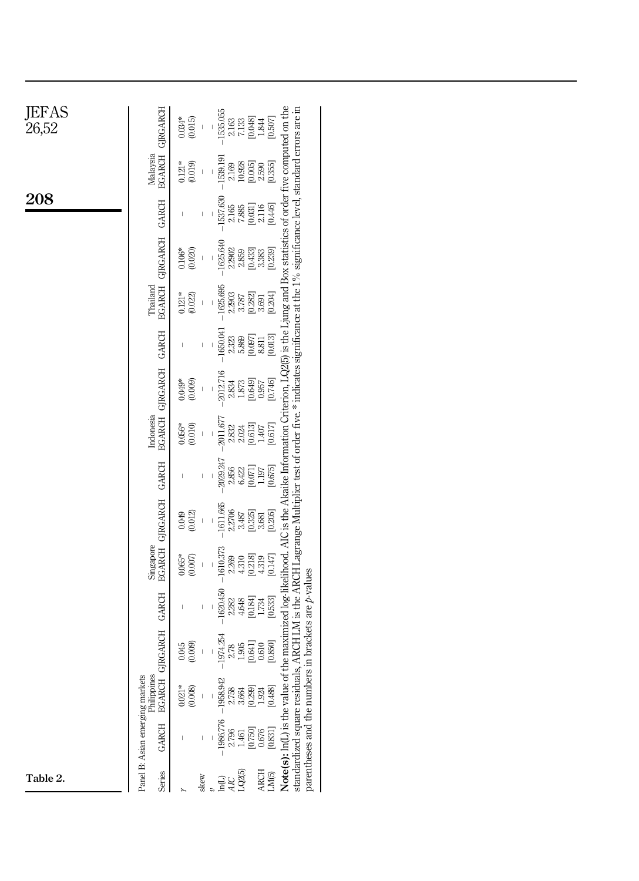| JEFAS<br>26,52 |                                                 | $-1535.055$<br>$0.034*$<br>$7.133$<br>[0.048]<br>(0.015)<br>$1.844$<br>[0.507]<br>2.163                                                                                                                                                                                                                                                                                                                                                                                               |
|----------------|-------------------------------------------------|---------------------------------------------------------------------------------------------------------------------------------------------------------------------------------------------------------------------------------------------------------------------------------------------------------------------------------------------------------------------------------------------------------------------------------------------------------------------------------------|
|                | EGARCH GIRGARCH<br>Malaysia                     | $-1539.191$<br>$0.121*$<br>$10.928$<br>$[0.005]$<br>(0.019)<br>$\frac{2.590}{[0.355]}$<br>2.169                                                                                                                                                                                                                                                                                                                                                                                       |
| 208            | <b>GARCH</b>                                    | $-1537.630$<br>[0.446]<br>$7.885\atop \begin{bmatrix} 0.031 \end{bmatrix}$<br>2.116<br>2.165<br>$\overline{\phantom{a}}$                                                                                                                                                                                                                                                                                                                                                              |
|                |                                                 | $-1625.640$<br>2.2902<br>[0.433]<br>3.383<br>[0.239]<br>$0.106*$<br>(0.020)<br>2.859                                                                                                                                                                                                                                                                                                                                                                                                  |
|                | EGARCH GIRGARCH<br>Thailand                     | $-1625.695$<br>$0.121*$<br>[0.204]<br>2.2903<br>[0.282]<br>(0.022)<br>3.787<br>3.691                                                                                                                                                                                                                                                                                                                                                                                                  |
|                | <b>GARCH</b>                                    | $-1650.041$<br>$\begin{bmatrix} 8.811 \\[-4pt] 0.013 \end{bmatrix}$<br>[0.097]<br>5.869<br>2.323<br>$\mathfrak l$                                                                                                                                                                                                                                                                                                                                                                     |
|                |                                                 | 2012.716<br>[0.746]<br>$0.049*$<br>$1.873$<br>[0.649]<br>(6000)<br>2.834<br>0.957                                                                                                                                                                                                                                                                                                                                                                                                     |
|                | EGARCH GIRGARCH<br>Indonesia                    | $-2011.677$<br>(0.010)<br>[0.613]<br>$[0.617]$<br>$0.056*$<br>2.832<br>$2.024\,$<br>1.407                                                                                                                                                                                                                                                                                                                                                                                             |
|                | <b>GARCH</b>                                    | $-2029.247$<br>[0.675]<br>[0.071]<br>2.856<br>6.422<br>1.197<br>$\overline{\phantom{a}}$<br>T                                                                                                                                                                                                                                                                                                                                                                                         |
|                |                                                 | $-1611.665$<br>$3.681$<br>$[0.205]$<br>2.2706<br>[0.325]<br>(0.012)<br>0.049<br>3.487                                                                                                                                                                                                                                                                                                                                                                                                 |
|                | <b>EGARCH GIRGARCH</b><br>Singapore             | $-1610.373$<br>$4.310$<br>[0.218]<br>[0.147]<br>$0.065*$<br>(0.007)<br>4.319<br>2.269                                                                                                                                                                                                                                                                                                                                                                                                 |
|                | <b>GARCH</b>                                    | $-1620.450$<br>[0.184]<br>[0.533]<br>4.648<br>2.282<br>1.734<br>I<br>I                                                                                                                                                                                                                                                                                                                                                                                                                |
|                | <b>GIRGARCH</b>                                 | $-1974.254$<br>[0.641]<br>[0.850]<br>(0.009)<br>1.905<br>0.610<br>0.045<br>2.78                                                                                                                                                                                                                                                                                                                                                                                                       |
|                | Philippines<br><b>EGARCH</b>                    | $-1958.942$<br>$0.021*$<br>[0.488]<br>(0.008)<br>[0.299]<br>2.758<br>1.924<br>3.664                                                                                                                                                                                                                                                                                                                                                                                                   |
|                | Panel B: Asian emerging markets<br><b>GARCH</b> | Note(s): In(L) is the value of the maximized log-likelihood. AIC is the Akaike Information Criterion, LQ2(5) is the Ljung and Box statistics of order five computed on the<br>standardized square residuals, ARCH LM is the ARCH Lagrange Multiplier test of order five.* indicates significance at the 1% significance level, standard errors are in<br>parentheses and the numbers in brackets are $p$ -values<br>$-1986.776$<br>$[0.750]$<br>$\frac{0.676}{[0.831]}$<br>2.796<br>H |
| Table 2.       | Series                                          | LQ2(5)<br>ARCH<br>LM(5)<br>skew<br>$\ln(L)$<br>AIC                                                                                                                                                                                                                                                                                                                                                                                                                                    |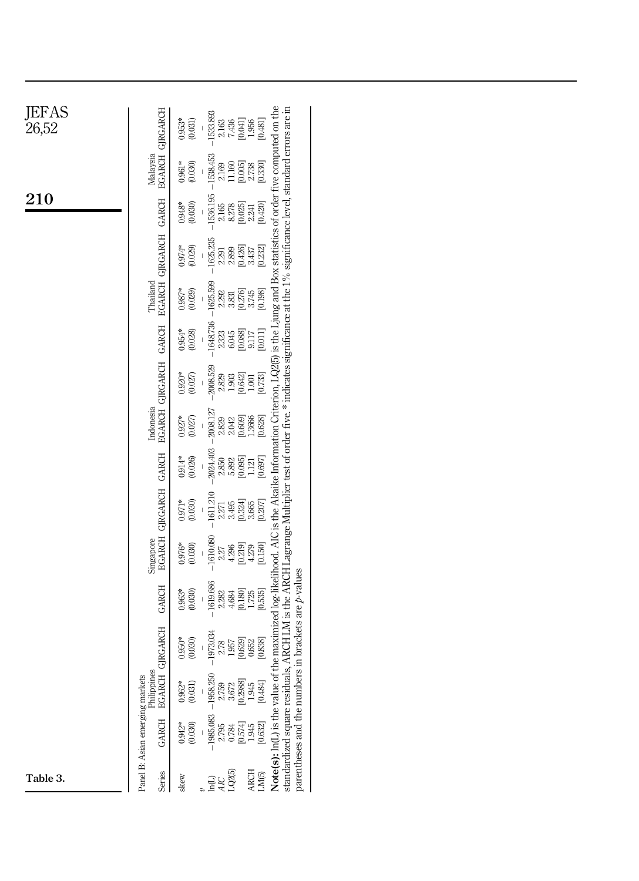| JEFAS<br>26,52 | EGARCH GJRGARCH                          | $0.953*$<br>(0.031)   | 1533.893<br>2163<br>7.436<br>2.1954<br>2.1951                                                                                                                                                                                                                                                                                                                                                              |
|----------------|------------------------------------------|-----------------------|------------------------------------------------------------------------------------------------------------------------------------------------------------------------------------------------------------------------------------------------------------------------------------------------------------------------------------------------------------------------------------------------------------|
|                | Malaysia                                 | $0.961*$<br>(0.030)   | $-1538.453$<br>$2.169$<br>11.160<br>$[0.005]$<br>$2.738$<br>$[0.330]$                                                                                                                                                                                                                                                                                                                                      |
| $210\,$        |                                          | (0.030)<br>$0.948*$   | 1536.195<br>328<br>2325<br>2342<br>2425                                                                                                                                                                                                                                                                                                                                                                    |
|                | EGARCH GJRGARCH GARCH                    | $0.974*$<br>(0.029)   | $-1625.235$<br>$\begin{array}{c} [0.426] \\ 3.437 \\ [0.232] \end{array}$<br>2.291<br>2.899                                                                                                                                                                                                                                                                                                                |
|                | Thailand                                 | $0.987*$<br>(0.029)   | $-1625.596$<br>[0.276]<br>3.745<br>[0.198]<br>2.292<br>3.831                                                                                                                                                                                                                                                                                                                                               |
|                |                                          | $0.954*$<br>(0.028)   | $-1648.736$<br>[0.088]<br>2.323<br>6.045<br>$\frac{9117}{[0.011]}$<br>$\overline{1}$                                                                                                                                                                                                                                                                                                                       |
|                | EGARCH GJRGARCH GARCH                    | $0.920*$<br>(0.027)   | 2008.529<br>$\begin{array}{c} 230 \\ 230 \\ -100 \\ -100 \\ -100 \\ \hline \end{array}$                                                                                                                                                                                                                                                                                                                    |
|                | Indonesia                                | $0.927*$<br>(0.027)   | $-2008.127$<br>2.829<br>2.042<br>2.0609<br>2.3666<br>[0.628]                                                                                                                                                                                                                                                                                                                                               |
|                |                                          | (0.026)<br>$0.914*$   | 2024.403<br>[0.095]<br>$\frac{1.121}{[0.697]}$<br>2.850<br>5.892<br>$\overline{1}$                                                                                                                                                                                                                                                                                                                         |
|                | EGARCH GJRGARCH GARCH                    | $0.971*$<br>(0.030)   | $-1611.210$<br>$\begin{array}{l} 2.31 \\ 2.43 \\ 3.31 \\ 4.32 \\ 5.33 \\ 6.85 \\ 7.85 \\ 8.87 \\ 1.82 \\ 1.83 \\ 1.84 \\ 1.85 \\ 1.87 \\ 1.89 \\ 1.81 \\ 1.82 \\ 1.83 \\ 1.84 \\ 1.85 \\ 1.87 \\ 1.89 \\ 1.89 \\ 1.89 \\ 1.89 \\ 1.89 \\ 1.89 \\ 1.89 \\ 1.89 \\ 1.89 \\ 1.89 \\ 1.89 \\ 1.89 \\ 1.89 \\ 1.89 \\ 1.89 \\ 1.$                                                                               |
|                | Singapore                                | $0.976*$<br>(0.030)   | $-1610.080$<br>$^{27}_{480}$<br>$^{480}_{481}$<br>$^{61}_{481}$<br>$^{61}_{481}$<br>$^{61}_{481}$                                                                                                                                                                                                                                                                                                          |
|                | GARCH                                    | (0.030)<br>$0.963*$   | 1619.686<br>$\begin{array}{c} [0.180] \\ 1.725 \\ [0.535] \end{array}$<br>2.282<br>4.684                                                                                                                                                                                                                                                                                                                   |
|                | H GJRGARCH                               | $0.950*$<br>(0.030)   | of the maximized log-likelihood. AIC is the Akaike Information Criterion, LQ2(5) is the Ljung and Box statistics of order five computed on the<br>als, ARCH LM is the ARCH Lagrange Multiplier test of order five.* indicates significance at the 1% significance level, standard errors are in<br>$\frac{1}{2}$ in brackets are $p$ -values<br>$-1973.034$<br>[0.629] 0.652<br>[0.838]<br>$2.78$<br>1.957 |
|                | <b>g</b><br>Philippin<br><b>EGARC</b>    | $0.962*$<br>(0.031)   | 2.759<br>3.672<br>3.6739<br>3.944<br>10.484<br>$-19582$                                                                                                                                                                                                                                                                                                                                                    |
|                | Panel B: Asian emerging markets<br>GARCH | $0.942*$<br>$(0.030)$ | Note(s): ln(L) is the value<br>parentheses and the numb<br>standardized square residu<br>85.083<br>25 84 55 45 55<br>25 55 55 56 59<br>29 50 50 50 50                                                                                                                                                                                                                                                      |
| Table 3.       | Series                                   | skew                  | $\begin{array}{c} \text{ARCH} \\ \text{LM}(5) \end{array}$                                                                                                                                                                                                                                                                                                                                                 |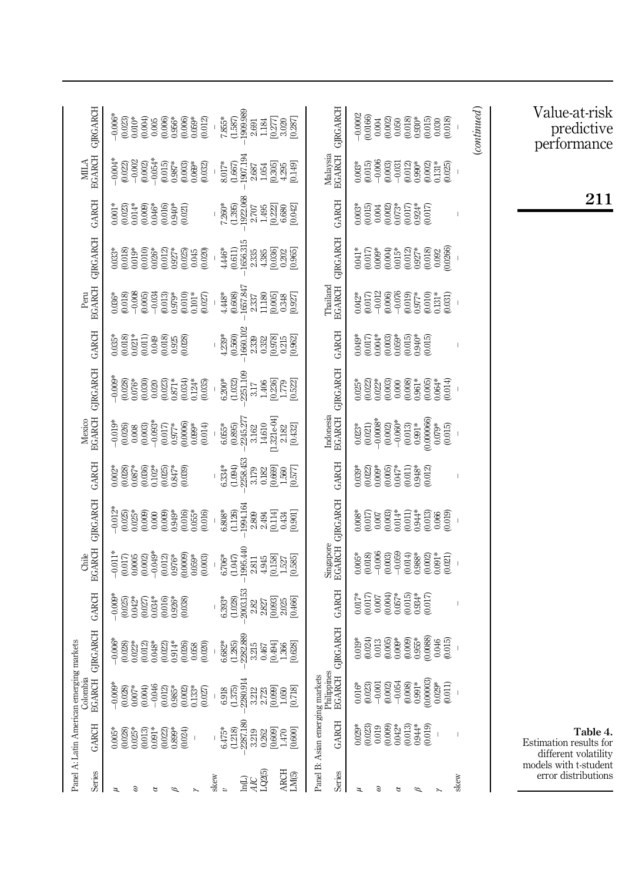<span id="page-14-0"></span>

| Series                                                                                    | Panel A: Latin American emerging markets<br><b>GARCH</b>                                                                        | Colombia<br><b>EGARCH</b>                                                                                                                                                                                                                                                                         | <b>GJRGARCH</b>                                                                                                                                       | <b>GARCH</b>                                                                                                                          |                                                                                                                                                | Chile<br>EGARCH GJRGARCH                                                                                                                                                                                                                                                                                                                         | <b>GARCH</b>                                                                                                                 |                                                                                                                                                                                                    | Mexico<br>EGARCH GJRGARCH                                                                                                                                                                                                                                                                           | <b>GARCH</b>                                                                                                                                                                                                                                                                                                                                                                                                    | Peru                                                                                                                                                                                                                                                                    | EGARCH GJRGARCH                                                                                                                                                                                                                                                       | <b>GARCH</b>                                                                                                                                   |                                                                                                                                                | $\begin{array}{ll} \text{MILA} \\ \text{BGARCH} \end{array} \text{GJRGARCH}$                                                                    |
|-------------------------------------------------------------------------------------------|---------------------------------------------------------------------------------------------------------------------------------|---------------------------------------------------------------------------------------------------------------------------------------------------------------------------------------------------------------------------------------------------------------------------------------------------|-------------------------------------------------------------------------------------------------------------------------------------------------------|---------------------------------------------------------------------------------------------------------------------------------------|------------------------------------------------------------------------------------------------------------------------------------------------|--------------------------------------------------------------------------------------------------------------------------------------------------------------------------------------------------------------------------------------------------------------------------------------------------------------------------------------------------|------------------------------------------------------------------------------------------------------------------------------|----------------------------------------------------------------------------------------------------------------------------------------------------------------------------------------------------|-----------------------------------------------------------------------------------------------------------------------------------------------------------------------------------------------------------------------------------------------------------------------------------------------------|-----------------------------------------------------------------------------------------------------------------------------------------------------------------------------------------------------------------------------------------------------------------------------------------------------------------------------------------------------------------------------------------------------------------|-------------------------------------------------------------------------------------------------------------------------------------------------------------------------------------------------------------------------------------------------------------------------|-----------------------------------------------------------------------------------------------------------------------------------------------------------------------------------------------------------------------------------------------------------------------|------------------------------------------------------------------------------------------------------------------------------------------------|------------------------------------------------------------------------------------------------------------------------------------------------|-------------------------------------------------------------------------------------------------------------------------------------------------|
| Э<br>z                                                                                    | $\begin{array}{l} 0.005^{*}\\ 0.028\\ 0.025^{*}\\ 0.013\\ 0.0013\\ 0.0001\\ 0.0000\\ 0.0004\\ 0.0004 \end{array}$               | $\begin{array}{l} 0.0008\\ -0.00008\\ -0.000000\\ -0.000000\\ -0.000000\\ -0.000000\\ -0.000000\\ -0.000000\\ -0.000000\\ -0.000000\\ -0.00000\\ -0.00000\\ -0.00000\\ -0.00000\\ -0.00000\\ -0.00000\\ -0.00000\\ -0.00000\\ -0.00000\\ -0.00000\\ -0.00000\\ -0.00000\\ -0.00000$<br>(0.027)    | $-0.006*$<br>$(0.028)$<br>$0.022*$<br>$0.914*$<br>$(0.026)$<br>$0.058$<br>(0.020)<br>(0.012)<br>$0.048*$<br>$(0.022)$                                 |                                                                                                                                       | $-0.011*$<br>$-0.049*$<br>$\begin{array}{c} (0.012) \\ 0.976^* \\ (0.0009) \\ 0.059^* \end{array}$<br>$0.017$<br>$0.006$<br>$0.002$<br>(0.003) | $\begin{array}{l} \begin{array}{l} * \\ 0.012 \\ 0.025 \\ 0.035 \\ 0.000 \\ 0.000 \\ 0.000 \\ 0.000 \\ 0.000 \\ 0.000 \\ 0.000 \\ 0.000 \\ 0.000 \\ 0.000 \\ 0.000 \\ 0.000 \\ 0.000 \\ 0.000 \\ 0.000 \\ 0.000 \\ 0.000 \\ 0.000 \\ 0.000 \\ 0.000 \\ 0.000 \\ 0.000 \\ 0.000 \\ 0.000 \\ 0.000 \\ 0.000 \\ $<br>$0.016$<br>$0.05$ *<br>(0.016) | $\begin{array}{l} 0.002^* \\ 0.028) \\ 0.037^* \\ 0.036 \\ 0.036) \\ 0.025 \\ 0.025 \\ 0.047^* \\ \end{array}$<br>(0.039)    | $-0.093*$<br>$\begin{array}{c} 1010\\ -0.0260\\ 0.000\\ 0.000\\ 0.000\\ \end{array}$<br>$\begin{array}{c} (0.017) \\ 0.977^{*\!*} \\ (0.0006) \\ (0.0006) \\ (0.009^{*\!*} \end{array}$<br>(0.014) | $\begin{array}{l} 0.098\\ -0.028\\ -0.028\\ -0.020\\ -0.020\\ -0.020\\ -0.020\\ -0.020\\ -0.020\\ -0.030\\ -0.030\\ -0.030\\ -0.030\\ -0.030\\ -0.030\\ -0.030\\ -0.030\\ -0.030\\ -0.030\\ -0.030\\ -0.030\\ -0.030\\ -0.030\\ -0.030\\ -0.030\\ -0.030\\ -0.030\\ -0.030\\ -0.030\\ -0.030\\ -0.$ | $\begin{array}{c} 0.035^{*} \\ 0.018 \\ 0.021^{*} \\ 0.011 \\ 0.011 \\ \end{array}$<br>$\begin{array}{l} (39 \\ 0.018) \\ (0.018) \\ (0.018) \\ (0.02) \\ (0.018) \\ (0.018) \\ (0.018) \\ (0.018) \\ (0.018) \\ (0.018) \\ (0.018) \\ (0.018) \\ (0.018) \\ (0.018) \\ (0.018) \\ (0.018) \\ (0.018) \\ (0.018) \\ (0.018) \\ (0.018) \\ (0.018) \\ (0.018) \\ (0.018) \\ (0.018) \\ (0.018) \\ (0.018) \\ (0$ | $\begin{array}{l} 0.036^{*}\\ 0.018\\ 0.018\\ 0.006\\ 0.003\\ 0.034\\ 0.013\\ 0.013\\ 0.010\\ 0.010\\ 0.000\\ 0.000\\ 0.000\\ 0.000\\ 0.000\\ 0.000\\ 0.000\\ 0.000\\ 0.000\\ 0.000\\ 0.000\\ 0.000\\ 0.000\\ 0.000\\ 0.000\\ 0.000\\ 0.000\\ 0.000\\ 0.000\\ 0.000\\ $ | $\begin{array}{l} 0.033\\ 0.018\\ 0.019\\ 0.010\\ 0.026\\ 0.023\\ 0.012\\ 0.001\\ 0.001\\ 0.003\\ 0.003\\ 0.003\\ 0.003\\ 0.003\\ 0.003\\ 0.003\\ 0.003\\ 0.003\\ 0.003\\ 0.003\\ 0.003\\ 0.003\\ 0.003\\ 0.003\\ 0.003\\ 0.003\\ 0.003\\ 0.003\\ 0.003\\ 0.003\\ 0.$ | $\begin{array}{l} 0.046^* \\ 0.016 \\ 0.010 \\ 0.021 \\ 0.021 \end{array}$<br>$0.001*$<br>$(0.023)$<br>$0.014*$<br>(0.009)                     | $\begin{array}{c} -0.054* \\ 0.015 \\ 0.987* \\ 0.003 \\ 0.003 \end{array}$<br>$-0.004*$<br>$-0.022$<br>$-0.002$<br>(0.002)<br>(0.032)         | $-0.006$<br>$-0.023$<br>$-0.034$<br>$-0.004$<br>$-0.006$<br>$-0.066$<br>$-0.066$<br>$-0.056$<br>$-0.012$<br>$-0.012$                            |
| LQ2(5)<br>$\begin{array}{c} \text{ARCH} \\ \text{LM}(5) \end{array}$<br>skew<br>ਪੁਰ<br>ਜੁ | $-2287.180$<br>$6.475*$<br>(1.218)<br>$0.262$<br>[0.609]<br>3.219<br>$1.470$<br>[0.600]                                         | 2280.914<br>(1.375)<br>[0.099]<br>0.718<br>6.918<br>3.212<br>2.723<br>1.050                                                                                                                                                                                                                       | $\begin{array}{c} (1.285) \\ -2.282.889 \\ 3.215 \end{array}$<br>$6.682*$<br>$\begin{array}{c} 0.467 \\ 0.494 \\ 0.366 \\ 1.368 \\ 0.628 \end{array}$ | $\begin{array}{l} 2003.153 \\ 2.82 \\ 2.827 \\ 0.093 \\ 0.045 \\ 0.0466 \\ 0.466 \end{array}$<br>(1.028)<br>$6.393*$                  | 1995.440<br>$6.706*$<br>(1.047)<br>$\begin{bmatrix} 0.158 \\ 1.527 \end{bmatrix}$<br>2.811<br>4.945<br>[0.585]                                 | $-1994.164$<br>$2.809$<br>$6.808*$<br>(1.126)<br>$2.494$<br>[0.114]<br>0.434<br>[10.901]                                                                                                                                                                                                                                                         | $(1.094)$<br>$-2258.453$<br>$3.179$<br>$6.334*$<br>$\begin{array}{c} 0.182 \\ 0.669 \\ 1.567 \\ 1.577 \\ \hline \end{array}$ | $-2245.277$<br>3.162<br>[1.321e.04]<br>14.610<br>$6.055*$<br>$(0.895)$<br>2.182<br>[0.432]                                                                                                         | $-2251.109$<br>$6.200*$<br>(1.032)<br>$\begin{array}{l} 3.17 \\ 1.406 \\ 1.779 \\ 0.373 \\ 1.732 \\ 0.523 \\ \end{array}$                                                                                                                                                                           | $\begin{array}{r} \mathbf{-3.3}\ \ 4.233\ \ 0.560\ \ 0.0102\ \ 0.0000\ \ 0.0000\ \ 0.0000\ \ 0.0000\ \ 0.0000\ \ 0.0000\ \ 0.0000\ \ 0.0000\ \ 0.0000\ \ 0.0000\ \end{array}$                                                                                                                                                                                                                                   | $\begin{array}{c} \textbf{1}657.847 \\ \textbf{2.337} \end{array}$<br>$4.448*$<br>(0.608)<br>$\begin{array}{l} 11.180 \\ 0.005 \\ 0.348 \\ 0.927 \end{array}$                                                                                                           | 1656.315<br>(0.611)<br>4.446*<br>$\begin{array}{l} 2.35 \\ 4.36 \\ 0.30 \\ 0.02 \\ \end{array}$<br>[0.965]                                                                                                                                                            | $\begin{array}{c} (1.395) \\ -1922.068 \\ 2.707 \end{array}$<br>$7260*$<br>$\begin{array}{c} 1.495 \\ [0.222] \\ 6.680 \end{array}$<br>[0.042] | $\begin{array}{l} (1.667) \\ -1.907194 \\ 2.687 \\ 1.054 \\ 1.0305 \\ 0.305 \\ 4.295 \end{array}$<br>$8.017*$<br>0.149                         | $7.855*$<br>$(1.587)$<br>$-1909.989$<br>$2.691$<br>$\begin{array}{c} 1.184 \\ 1.277 \\ 0.277 \\ 0.087 \\ 0.087 \end{array}$                     |
| <b>Series</b>                                                                             | Panel B: Asian emerging markets<br><b>GARCH</b>                                                                                 | Philippines<br>EGARCH (                                                                                                                                                                                                                                                                           | <b>GIRGARCH</b>                                                                                                                                       | <b>GARCH</b>                                                                                                                          |                                                                                                                                                | Singapore<br>EGARCH GJRGARCH                                                                                                                                                                                                                                                                                                                     | <b>GARCH</b>                                                                                                                 |                                                                                                                                                                                                    | Indonesia<br>EGARCH GJRGARCH                                                                                                                                                                                                                                                                        | <b>GARCH</b>                                                                                                                                                                                                                                                                                                                                                                                                    | Thailand<br>EGARCH (                                                                                                                                                                                                                                                    | <b>GIRGARCH</b>                                                                                                                                                                                                                                                       | <b>GARCH</b>                                                                                                                                   |                                                                                                                                                | Malaysia<br>EGARCH GJRGARCH                                                                                                                     |
| skew<br>Э<br>z<br>₫<br>Φ                                                                  | $\begin{array}{l} 0.00000\\ 0.00000\\ 0.0000\\ 0.0000\\ 0.0000\\ \end{array}$<br>$0.013$<br>$0.944*$<br>(0.019)<br>$\mathbb{I}$ | $\begin{array}{l} 0.016^* \\ 0.023 \\ 0.0023 \\ 0.0023 \\ 0.0034 \\ 0.0000 \\ 0.0000 \\ 0.0000 \\ 0.0000 \\ 0.011 \\ 0.011 \\ 0.011 \\ 0.011 \\ 0.011 \\ 0.011 \\ 0.011 \\ 0.011 \\ 0.011 \\ 0.011 \\ 0.011 \\ 0.011 \\ 0.011 \\ 0.011 \\ 0.011 \\ 0.011 \\ 0.011 \\ 0.011 \\ 0.011 \\ 0.011 \\ $ | (0.0088)<br>$0.009*$<br>$(0.009)$<br>$0.955*$<br>$\begin{array}{c} (0.024) \\ 0.013 \end{array}$<br>(0.005)<br>(0.015)<br>$0.019*$<br>0.046           | $0.057*$<br>$\begin{array}{c} 0.017 \\ 0.007 \end{array}$<br>(0.004)<br>$0.934*$<br>$(0.017)$<br>$0.017*$<br>(0.015)<br>$\bar{\rm I}$ | $0.005*$<br>$(0.018)$<br>$-0.006$<br>$(0.003) - 0.059$<br>$\begin{array}{l} 0.014 \\ 0.988 \\ 0.002 \\ 0.001 \\ \end{array}$<br>0.021)         | $\begin{array}{c} 0.008^* \\ 0.017 \\ 0.007 \\ 0.003 \\ 0.0014^* \\ 0.011 \\ 0.011 \end{array}$<br>$0.944*$<br>$(0.013)$<br>$0.066$<br>$0.019$                                                                                                                                                                                                   | $0.039*$<br>$0.022)$<br>$0.009*$<br>$0.005$<br>$0.047*$<br>$0.011$<br>$0.948*$<br>$(0.012)$                                  | $\begin{array}{l} 0.023^{*}\\ 0.021)\\ 0.0008^{*}\\ 0.0000\\ 0.0000\\ 0.001\\ 0.013\\ 0.003\\ 0.003\\ 0.003\\ 0.003\\ \end{array}$<br>0.000066<br>$0.079*$<br>(0.015)                              | $\begin{array}{l} 0.023 \\ 0.022 \\ 0.023 \\ 0.003 \end{array}$                                                                                                                                                                                                                                     | $\begin{array}{l} 0.049^* \\ 0.017) \\ 0.004^* \\ 0.003) \\ 0.059^* \\ 0.015) \end{array}$<br>$0.940*$<br>(0.015)<br>$\mathsf I$                                                                                                                                                                                                                                                                                | $\begin{array}{l} 0.042^{*}\\ 0.017\\ 0.013\\ 0.066\\ 0.070\\ 0.006\\ 0.010\\ 0.010\\ 0.010\\ 0.011\\ 0.010\\ 0.011\\ 0.031) \end{array}$                                                                                                                               | $\begin{array}{c} 0.004)\\ 0.015\\ 0.012)\\ 0.927^*\\ 0.927^* \end{array}$<br>$0.092$<br>$(0.0266)$<br>$^{(0.017)}_{0.009*}$<br>(0.018)<br>$0.041*$                                                                                                                   | $(0.015)$<br>$0.004$<br>(0.002)<br>$0.073*$<br>$(0.017)$<br>$0.924*$<br>$0.003*$<br>0.017                                                      | $0.003*$<br>$(0.015)$<br>$-0.006$<br>$\begin{array}{c} (0.002) \\ 0.131\end{array}$<br>$(0.025)$<br>(0.003)<br>(0.012)<br>$0.990*$<br>$-0.031$ | $-0.0002$<br>$\begin{array}{l} 0.0166\\ 0.004\\ 0.002\\ 0.050\\ 0.018\\ 0.018\\ 0.010\\ 0.010\\ \end{array}$<br>$(0.015)$<br>$0.030$<br>(0.018) |
|                                                                                           |                                                                                                                                 |                                                                                                                                                                                                                                                                                                   |                                                                                                                                                       |                                                                                                                                       |                                                                                                                                                |                                                                                                                                                                                                                                                                                                                                                  |                                                                                                                              |                                                                                                                                                                                                    |                                                                                                                                                                                                                                                                                                     |                                                                                                                                                                                                                                                                                                                                                                                                                 |                                                                                                                                                                                                                                                                         |                                                                                                                                                                                                                                                                       |                                                                                                                                                |                                                                                                                                                | (continued)                                                                                                                                     |
| models with t-student<br>error distributions                                              | Table 4.<br>Estimation results for<br>different volatility                                                                      |                                                                                                                                                                                                                                                                                                   |                                                                                                                                                       |                                                                                                                                       |                                                                                                                                                |                                                                                                                                                                                                                                                                                                                                                  |                                                                                                                              |                                                                                                                                                                                                    |                                                                                                                                                                                                                                                                                                     |                                                                                                                                                                                                                                                                                                                                                                                                                 |                                                                                                                                                                                                                                                                         |                                                                                                                                                                                                                                                                       | 211                                                                                                                                            |                                                                                                                                                | Value-at-risk<br>predictive<br>performance                                                                                                      |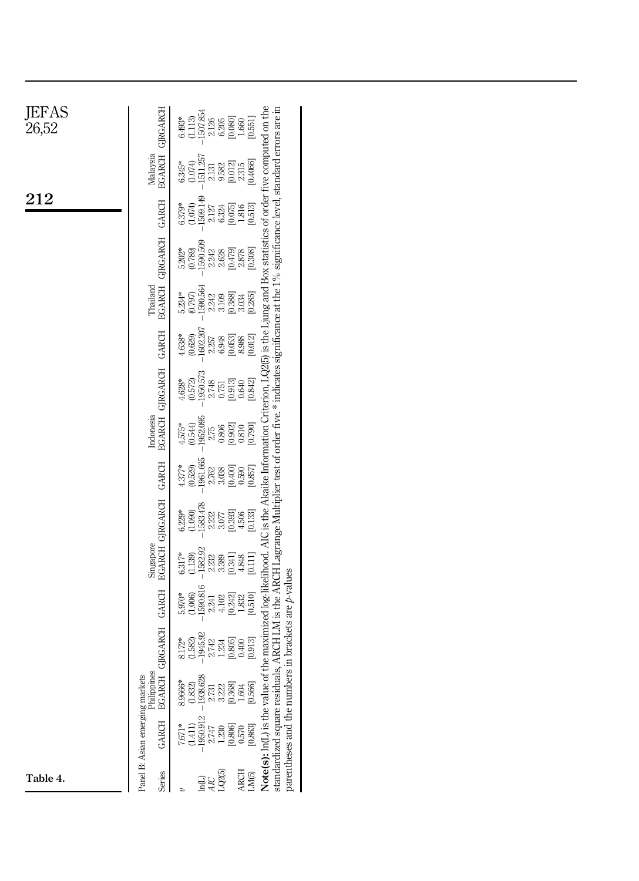| JEFAS<br>26,52 | $6.493*$<br>(1.113)<br>1507.854<br>$\begin{array}{l} 288 \\ 248 \\ 368 \\ -160 \\ -101 \\ \hline \end{array}$                                                                                                                                                                                                                                                                                                                                           |
|----------------|---------------------------------------------------------------------------------------------------------------------------------------------------------------------------------------------------------------------------------------------------------------------------------------------------------------------------------------------------------------------------------------------------------------------------------------------------------|
|                | <b>EGARCH GJRGARCH</b><br>Malaysia<br>$(1.074)$<br>-1511 257<br>[0.4066]<br>$6.345*$<br>$\begin{array}{l} 131 \\ 232 \\ 352 \\ 0.01 \\ 235 \\ 0.01 \\ 235 \\ \end{array}$                                                                                                                                                                                                                                                                               |
| 212            | 1509.149<br>(1.074)<br>6.379*                                                                                                                                                                                                                                                                                                                                                                                                                           |
|                | the maximized log-likelihood. AIC is the Akaike Information Criterion, LQ2(5) is the Ljung and Box statistics of order five computed on the<br>ls, ARCH LM is the ARCH Lagrange Multiplier test of order five.* indicates significance at the 1% significance level, standard errors are in<br>EGARCH GJRGARCH GARCH<br>$5.202*$<br>$(0.789)$<br>$1590.509$                                                                                             |
|                | Thailand<br>1590.564<br>$5.234*$<br>(2620)<br>$\begin{array}{l} 2.21 \\ 2.108 \\ 3.108 \\ 0.383 \\ \vdots \\ 0.334 \end{array}$<br>[0.285]                                                                                                                                                                                                                                                                                                              |
|                | 1602.207<br>GARCH<br>257<br>2365<br>2009<br>2009<br>(0.629)<br>$4.638*$                                                                                                                                                                                                                                                                                                                                                                                 |
|                | EGARCH GIRGARCH<br>$(0.572)$<br>1950.573<br>$4.628*$<br>$\begin{array}{l} 2.748 \\ 2.751 \\ 0.513 \\ 0.642 \\ 0.843 \\ 0.020 \end{array}$                                                                                                                                                                                                                                                                                                               |
|                | Indonesia<br>$\frac{1952095}{2.75}$<br>$4.575*$<br>(0.544)<br>[0.902]0.810<br>[0.790]                                                                                                                                                                                                                                                                                                                                                                   |
|                | 1961.665<br>(0.529)<br>4.377*                                                                                                                                                                                                                                                                                                                                                                                                                           |
|                | EGARCH GIRGARCH GARCH<br>1583.478<br>$6.229*$<br>$\begin{array}{c} [0.393] \\ 4.506 \\ [0.133] \end{array}$<br>(1.090)<br>2.232<br>3.077                                                                                                                                                                                                                                                                                                                |
|                | Singapore<br>$-1582.92$<br>$6.317*$<br>(1.139)<br>$\begin{array}{c} 23 \\ 23 \\ 33 \\ 33 \\ 24 \\ \end{array}$<br>$[0.111]$                                                                                                                                                                                                                                                                                                                             |
|                | 1590.816<br><b>GARCH</b><br>(1.006)<br>5.970*<br>[0242]<br>1.832<br>[0.510]<br>2241<br>4.102                                                                                                                                                                                                                                                                                                                                                            |
|                | s in brackets are <i>p</i> -values<br><b>GIRGARCH</b><br>$-1945.92$<br>8.172*<br>(1.582)<br>[0.913]<br>$\begin{array}{c} 2.74 \\ -1.86 \\ -0.86 \\ \hline \end{array}$                                                                                                                                                                                                                                                                                  |
|                | Philippines<br>EGARCH<br>$\begin{array}{l} 8.9666*\\ 8.932)\\ (1.832)\\ (1.832)\\ -1938.628\\ 2.731\\ 3.222\\ (0.363)\\ 1.604\\ 1.666 \end{array}$                                                                                                                                                                                                                                                                                                      |
|                | Panel B: Asian emerging markets<br>Note(s): ln(L) is the value of<br>parentheses and the number<br>standardized square residua<br>$\begin{array}{l} (1.411)\\ (1.950.912\\ 2.747\\ 2.747\\ 1.230\\ (1.608)\\ (1.603)\\ (1.603)\\ (1.603)\\ (1.603)\\ (1.603)\\ (1.603)\\ (1.603)\\ (1.603)\\ (1.603)\\ (1.603)\\ (1.603)\\ (1.603)\\ (1.603)\\ (1.603)\\ (1.603)\\ (1.603)\\ (1.603)\\ (1.603)\\ (1.603)\\ (1.603)\\ (1.60$<br><b>GARCH</b><br>$7.671*$ |
| Table 4.       | $\begin{array}{c} \text{ARCH} \\ \text{LM}(5) \end{array}$<br>Series<br>147<br>476<br>1926                                                                                                                                                                                                                                                                                                                                                              |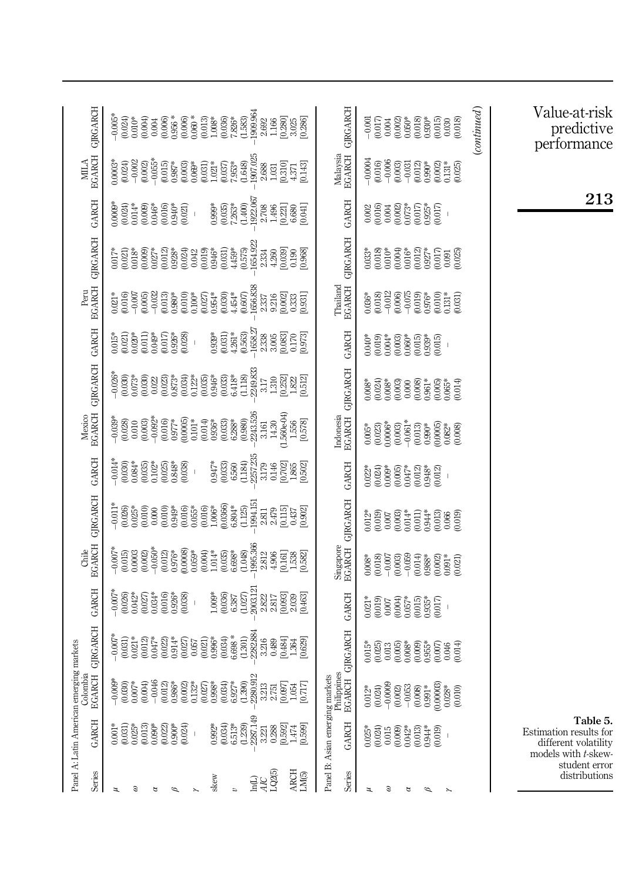|                                      | Panel A: Latin American emergin                                                         |                                                                                                                                                                                                                                                                                                                     | ag markets                                                                                  |                                                                                                                          |                                                                                                                                                                                                                                                                                                                                                                                                                                                                                                                                                                                                                                             |                                                                                                                                                                  |                                                                                                                                                  |                                                                                                                                                                       |                                                                                                                                            |                                                                                                                              |                                                                                                                                                                                                                                                                                                        |                                                                                                                                                                                                          |                                                                                                              |                                                                                                                                                                                                                                                                           |                                                                                                                                                                                                                                                                                                          |
|--------------------------------------|-----------------------------------------------------------------------------------------|---------------------------------------------------------------------------------------------------------------------------------------------------------------------------------------------------------------------------------------------------------------------------------------------------------------------|---------------------------------------------------------------------------------------------|--------------------------------------------------------------------------------------------------------------------------|---------------------------------------------------------------------------------------------------------------------------------------------------------------------------------------------------------------------------------------------------------------------------------------------------------------------------------------------------------------------------------------------------------------------------------------------------------------------------------------------------------------------------------------------------------------------------------------------------------------------------------------------|------------------------------------------------------------------------------------------------------------------------------------------------------------------|--------------------------------------------------------------------------------------------------------------------------------------------------|-----------------------------------------------------------------------------------------------------------------------------------------------------------------------|--------------------------------------------------------------------------------------------------------------------------------------------|------------------------------------------------------------------------------------------------------------------------------|--------------------------------------------------------------------------------------------------------------------------------------------------------------------------------------------------------------------------------------------------------------------------------------------------------|----------------------------------------------------------------------------------------------------------------------------------------------------------------------------------------------------------|--------------------------------------------------------------------------------------------------------------|---------------------------------------------------------------------------------------------------------------------------------------------------------------------------------------------------------------------------------------------------------------------------|----------------------------------------------------------------------------------------------------------------------------------------------------------------------------------------------------------------------------------------------------------------------------------------------------------|
|                                      | <b>GARCH</b>                                                                            | Colombia<br><b>EGARCH</b>                                                                                                                                                                                                                                                                                           | <b>GRGARCH</b>                                                                              | <b>GARCH</b>                                                                                                             |                                                                                                                                                                                                                                                                                                                                                                                                                                                                                                                                                                                                                                             | Chile<br>EGARCH GJRGARCH                                                                                                                                         | <b>GARCH</b>                                                                                                                                     |                                                                                                                                                                       | Mexico<br>EGARCH GJRGARCH GARCH                                                                                                            |                                                                                                                              |                                                                                                                                                                                                                                                                                                        | Peru<br>EGARCH GJRGARCH GARCH                                                                                                                                                                            |                                                                                                              |                                                                                                                                                                                                                                                                           | $\begin{array}{ll} \text{MILA} \\ \text{BGARCH} \\ \text{GRGARCH} \end{array}$                                                                                                                                                                                                                           |
|                                      | $0.001*$<br>$(0.031)$<br>$0.025*$<br>$0.013)$<br>$0.090*$                               | $-0.009*$<br>$-0.046$<br>$0.007*$                                                                                                                                                                                                                                                                                   | $-0.007*$<br>$0.021*$<br>$0.012$<br>$0.047*$                                                | $-0.007*$<br>$0.027$<br>$0.034*$<br>$0.042*$                                                                             | $0.003$<br>$0.002$<br>$0.0504$<br>$0.012$<br>$0.0008$<br>$0.0008$<br>$-0.007*$                                                                                                                                                                                                                                                                                                                                                                                                                                                                                                                                                              |                                                                                                                                                                  | $\begin{array}{c} 114 \\ 110 \\ 100 \\ 000 \\ 000 \\ 000 \\ 000 \\ \end{array}$                                                                  | $(0.10)$<br>$(0.003)$<br>$-0.092$ *<br>$-0.039*$                                                                                                                      |                                                                                                                                            | $\begin{array}{c} 0.015* \\ 0.021) \\ 0.020 \\ 0.011) \end{array}$<br>$0.049*$                                               | $\begin{array}{l} * \\ 0.016 \\ 0.016 \\ 0.016 \\ 0.005 \\ 0.010 \\ 0.010 \\ 0.000 \\ 0.000 \\ 0.000 \\ 0.000 \\ 0.000 \\ 0.000 \\ 0.000 \\ 0.000 \\ 0.000 \\ 0.000 \\ 0.000 \\ 0.000 \\ 0.000 \\ 0.000 \\ 0.000 \\ 0.000 \\ 0.000 \\ 0.000 \\ 0.000 \\ 0.000 \\ 0.000 \\ 0.000 \\ 0.000 \\ 0.000 \\ $ |                                                                                                                                                                                                          |                                                                                                              | $\begin{array}{l} \text{1.5}\ 2.0003\\ 0.024\\ 0.002\\ 0.002\\ 0.003\\ 0.05\\ 0.003\\ 0.003\\ 0.003\\ 0.003\\ 0.003\\ 0.003\\ 0.003\\ 0.003\\ 0.003\\ 0.003\\ 0.003\\ 0.003\\ 0.003\\ 0.003\\ 0.003\\ 0.003\\ 0.003\\ 0.003\\ 0.003\\ 0.003\\ 0.003\\ 0.003\\ 0.003\\ 0.$ | $-0.005*$<br>$(0.024)$                                                                                                                                                                                                                                                                                   |
|                                      | $\begin{array}{c} (0.022) \\ 0.900* \\ (0.024) \end{array}$                             | $\begin{array}{l} 0.12 \\[-4pt] 0.98 \\[-4pt] 0.002 \\[-4pt] 0.003 \\[-4pt] 0.003 \\[-4pt] 0.003 \\[-4pt] 0.003 \\[-4pt] 0.003 \\[-4pt] 0.003 \\[-4pt] 0.003 \\[-4pt] 0.003 \\[-4pt] 0.003 \\[-4pt] 0.003 \\[-4pt] 0.003 \\[-4pt] 0.003 \\[-4pt] 0.003 \\[-4pt] 0.003 \\[-4pt] 0.003 \\[-4pt] 0.003 \\[-4pt] 0.003$ | $\begin{array}{l} 0.027 \\ 0.057 \\ 0.031 \\ 0.996 \\ \end{array}$<br>$(0.022)$<br>$0.914*$ | $0.016$<br>$0.926$ *<br>$0.038$                                                                                          | $0.059*$<br>$0.0041*$<br>$1.014*$                                                                                                                                                                                                                                                                                                                                                                                                                                                                                                                                                                                                           | $0.010$<br>0.949*<br>0.016)<br>0.016)<br>0.016)<br>1.006*                                                                                                        | $\begin{array}{c} (0.025) \\ 0.848^* \\ (0.038) \end{array}$<br>$\bar{1}$                                                                        | $\begin{array}{c} (0.016) \\ 0.977* \\ (0.0005) \\ (0.0005) \\ 0.101* \end{array}$                                                                                    | $\begin{array}{l} 0.023 \\ 0.873^* \\ 0.034) \\ 0.122^* \\ 0.035) \\ 0.035 \end{array}$                                                    | $0.017$<br>$0.926$ <sup>*</sup><br>$0.028$ )                                                                                 |                                                                                                                                                                                                                                                                                                        |                                                                                                                                                                                                          | $\begin{array}{c} (0.016) \\ 0.940^* \\ (0.021) \end{array}$<br>$\bar{\rm I}$                                | $\begin{array}{l} 0.015 \\ 0.037^* \\ 0.003 \\ 0.0031 \\ 0.011^* \\ 0.037 \\ 0.037 \\ 0.037 \\ 0.037 \\ 0.037 \\ 0.037 \\ 0.048 \\ 0.048 \end{array}$                                                                                                                     |                                                                                                                                                                                                                                                                                                          |
|                                      | $(0.034)$<br>6.513*<br>$0.992*$                                                         |                                                                                                                                                                                                                                                                                                                     | $0.034$<br>6.698 *                                                                          | $\begin{array}{c} 0.036 \\ 6.387 \\ 0.027 \end{array}$<br>$1.009*$                                                       |                                                                                                                                                                                                                                                                                                                                                                                                                                                                                                                                                                                                                                             | $(0.0366)$<br>$6.804*$                                                                                                                                           | $0.947*$<br>$(0.033)$<br>$6.560$                                                                                                                 | $(0.014)$<br>$0.936*$<br>$\begin{array}{c} (0.033) \\ 6.288^* \end{array}$                                                                                            | $\begin{array}{c} (0.033) \\ 6.418 \\ (1.118) \end{array}$                                                                                 | $\begin{array}{c} 0.939^* \\ 0.031 \\ 4.261^* \\ 0.563 \end{array}$                                                          |                                                                                                                                                                                                                                                                                                        | $(0.031)$<br>4.459*                                                                                                                                                                                      | $\begin{array}{c} 0.999 \\ 0.035 \\ 7.263^* \\ \end{array}$                                                  |                                                                                                                                                                                                                                                                           |                                                                                                                                                                                                                                                                                                          |
|                                      | 2287.149<br>(1.239)<br>0.288<br>3.221                                                   | 2280.91<br>3213<br>2.751                                                                                                                                                                                                                                                                                            | $-2282.884$<br>(1.301)<br>3216<br>0.489                                                     | $\begin{array}{c} -2003.121 \\ 2.822 \\ 2.817 \end{array}$                                                               | $\begin{array}{c} (0.035) \\ 6.698^* \\ (1.048) \\ 1995.366 \\ 2.812 \end{array}$<br>4.906                                                                                                                                                                                                                                                                                                                                                                                                                                                                                                                                                  | 1994.151<br>(1.125)<br>2.479<br>2.811                                                                                                                            | 2257235<br>(1.184)<br>3.179<br>0.146                                                                                                             | $-2243.526$<br>3.161<br>(0.980)<br>$14.30\,$                                                                                                                          | $.2249.833$<br>$3.17$<br>1.310                                                                                                             | $\begin{array}{r} \begin{array}{c} 165827 \\ 165827 \\ 2.338 \\ 3.005 \end{array} \end{array}$                               | 1956.838<br>1957<br>1958.93 1958<br>1969.95 1969                                                                                                                                                                                                                                                       | $\begin{array}{l} 1654.922 \\ 2.334 \\ 4.260 \end{array}$<br>(0.575)                                                                                                                                     | $\begin{array}{l} 1922.067 \\ 2.708 \\ 1.496 \\ [0.221] \\ 6.680 \end{array}$                                | $\begin{array}{l} 1907.025 \\ 2.688 \\ 1.031 \end{array}$                                                                                                                                                                                                                 |                                                                                                                                                                                                                                                                                                          |
|                                      | [0.592]<br>$1.474$<br>[0.599]                                                           | [0.717]<br>[0.097]<br>1.054                                                                                                                                                                                                                                                                                         | [0.484]<br>[0.629]<br>1.364                                                                 | [0.093]<br>[0.463]<br>2.039                                                                                              | $\begin{array}{c} [0.161] \\ 1.538 \\ [0.582] \end{array}$                                                                                                                                                                                                                                                                                                                                                                                                                                                                                                                                                                                  | $\begin{array}{c} [0.115] \\ 0.437 \end{array}$<br>[0.902]                                                                                                       | $\begin{array}{c} [0.702] \\[-4pt] 1.865 \\[-4pt] [0.502] \end{array}$                                                                           | (1.560e.04)<br>1.556<br>[0.578]                                                                                                                                       | [0.252]<br>1.822<br>[0.512]                                                                                                                | $\begin{matrix} 0.083 \\ 0.170 \\ 0.973 \end{matrix}$                                                                        |                                                                                                                                                                                                                                                                                                        | $[0.039]$<br>$0.190$<br>$[0.968]$                                                                                                                                                                        | [0.041]                                                                                                      | $\begin{matrix} 0.310 \\ 4.371 \\ 0.143 \end{matrix}$                                                                                                                                                                                                                     | $\begin{array}{c} [0.280] \\ 3.025 \\ [0.286] \end{array}$                                                                                                                                                                                                                                               |
|                                      | <b>GARCH</b>                                                                            | Philippines<br>Panel B: Asian emerging markets<br><b>EGARCH</b>                                                                                                                                                                                                                                                     | <b>GJRGARCH</b>                                                                             | <b>GARCH</b>                                                                                                             |                                                                                                                                                                                                                                                                                                                                                                                                                                                                                                                                                                                                                                             | Singapore<br>EGARCH GJRGARCH                                                                                                                                     | <b>GARCH</b>                                                                                                                                     |                                                                                                                                                                       | Indonesia<br>EGARCH GJRGARCH                                                                                                               | <b>GARCH</b>                                                                                                                 |                                                                                                                                                                                                                                                                                                        | Thailand<br>EGARCH GJRGARCH                                                                                                                                                                              | <b>GARCH</b>                                                                                                 |                                                                                                                                                                                                                                                                           | Malaysia<br>EGARCH GJRGARCH                                                                                                                                                                                                                                                                              |
|                                      | $0.042*$<br>(0.024)<br>$0.015$<br>$0.009$<br>$0.013$<br>$0.944*$<br>(0.019)<br>$0.025*$ | $\begin{array}{l} 0.0124\\ 0.024)\\ 0.0200\\ 0.0000\\ 0.003\\ 0.003\\ 0.0000\\ 0.0000\\ 0.0000\\ 0.0000\\ 0.0000\\ 0.000\\ 0.000\\ 0.000\\ 0.00\\ 0.00\\ 0.00\\ 0.00\\ 0.00\\ 0.00\\ 0.00\\ 0.00\\ 0.00\\ 0.00\\ 0.00\\ 0.00\\ 0.00\\ 0.00\\ 0.00\\ 0.00\\ 0.00\\ 0.0$<br>(0.010)                                   | (0.025)<br>$0.013$<br>$(0.005)$<br>$0.008*$<br>$0.015*$                                     | $\begin{array}{l} 0.021* \\ 0.019 \\ 0.007 \\ 0.004 \\ 0.057* \\ 0.015 \\ 0.035* \\ 0.017 \\ 0.010 \\ 0.017 \end{array}$ | $\begin{array}{c} 6.0088 \\ 0.018 \\ 0.007 \\ 0.003 \\ 0.003 \\ -0.039 \\ 0.003 \\ -0.039 \\ 0.039 \\ -0.039 \\ 0.039 \\ -0.039 \\ -0.039 \\ -0.039 \\ -0.039 \\ -0.039 \\ -0.039 \\ -0.039 \\ -0.039 \\ -0.039 \\ -0.039 \\ -0.039 \\ -0.039 \\ -0.039 \\ -0.039 \\ -0.039 \\ -0.039 \\ -0.039 \\ -0.039 \\ -0.039 \\ -0$<br>$\begin{array}{c} 0.14 \\ 0.98 \\ 0.98 \\ 0.00 \\ 0.01 \\ 0.01 \\ 0.01 \\ 0.01 \\ 0.01 \\ 0.01 \\ 0.01 \\ 0.01 \\ 0.01 \\ 0.01 \\ 0.01 \\ 0.01 \\ 0.01 \\ 0.01 \\ 0.01 \\ 0.01 \\ 0.01 \\ 0.01 \\ 0.01 \\ 0.01 \\ 0.01 \\ 0.01 \\ 0.01 \\ 0.01 \\ 0.01 \\ 0.01 \\ 0.01 \\ 0.01 \\ 0.01 \\ 0.01 \\ 0.01 \\ 0.$ | $\begin{array}{c} 0.012^{*}\\ 0.019\\ 0.007\\ 0.007\\ 0.003\\ 0.014^{*}\\ \end{array}$<br>$\begin{array}{l} 0.011\\0.04\\0.013\\0.000\\0.000\\0.001 \end{array}$ | $\begin{array}{l} 0.022^* \\ 0.024) \\ 0.009^* \\ 0.005 \end{array}$<br>$0.047*$<br>$\begin{array}{c} (0.012) \\ 0.948^* \\ (0.012) \end{array}$ | $-0.061*$<br>$\begin{array}{c} 0.005^* \\ 0.023) \\ 0.0006^* \\ 0.0003 \end{array}$<br>$\begin{array}{l} 0.013 \\ 0.996 \\ 0.0005 \\ 0.0000 \\ 0.0000 \\ \end{array}$ | $\begin{array}{c} 0.008^{*} \\ 0.024) \\ 0.008^{*} \\ 0.003 \end{array}$<br>$0.000$<br>$0.008$<br>$0.005$<br>$0.005$<br>$0.005$<br>$0.014$ | $\begin{array}{l} 0.040* \\ 0.019) \\ 0.003) \\ 0.003) \\ 0.003) \\ 0.0003 \end{array}$<br>$(0.015)$<br>$0.939$ *<br>(0.015) | $\begin{array}{c} 0.036^{*} \\ 0.018 \\ 0.012 \\ 0.006 \\ 0.0075 \\ \end{array}$<br>$\begin{array}{l} 0.019 \\ 0.976 \\ 0.010 \\ 0.010 \\ 0.031 \\ 0.031 \end{array}$                                                                                                                                  | $\begin{array}{c} 0.33^{*} \\ 0.018 \\ 0.010^{*} \\ 0.0004 \\ 0.016^{*} \\ 0.016^{*} \\ 0.016^{*} \\ \end{array}$<br>$(0.012)$<br>$0.927*$<br>$\begin{array}{c} (0.017) \\ 0.091 \\ (0.025) \end{array}$ | $\begin{array}{l} 0.002 \\ 0.016 \\ 0.004 \\ 0.002 \\ 0.007 \\ 0.017 \\ 0.017 \\ 0.017 \\ 0.017 \end{array}$ | $\begin{array}{c} -0.0004 \\ 0.016 \\ -0.006 \\ 0.003 \end{array}$<br>$0.012$<br>$0.990*$<br>$\begin{array}{c} (0.002) \\ 0.131\ ^* \\ (0.025) \end{array}$<br>$-0.031$                                                                                                   | $\begin{array}{l} (0.017)\\ (0.002)\\ (0.003)\\ (0.013)\\ (0.013)\\ (0.013)\\ (0.013)\\ (0.018)\\ (0.018)\\ (0.018)\\ (0.019)\\ (0.019)\\ (0.019)\\ (0.019)\\ (0.019)\\ (0.019)\\ (0.019)\\ (0.019)\\ (0.019)\\ (0.019)\\ (0.019)\\ (0.019)\\ (0.019)\\ (0.019)\\ (0.019)\\ (0.019)\\ (0.01$<br>$-0.001$ |
|                                      |                                                                                         |                                                                                                                                                                                                                                                                                                                     |                                                                                             |                                                                                                                          |                                                                                                                                                                                                                                                                                                                                                                                                                                                                                                                                                                                                                                             |                                                                                                                                                                  |                                                                                                                                                  |                                                                                                                                                                       |                                                                                                                                            |                                                                                                                              |                                                                                                                                                                                                                                                                                                        |                                                                                                                                                                                                          |                                                                                                              |                                                                                                                                                                                                                                                                           | (continued)                                                                                                                                                                                                                                                                                              |
| models with t-skew-<br>student error | Table 5.<br>Estimation results for<br>different volatility                              |                                                                                                                                                                                                                                                                                                                     |                                                                                             |                                                                                                                          |                                                                                                                                                                                                                                                                                                                                                                                                                                                                                                                                                                                                                                             |                                                                                                                                                                  |                                                                                                                                                  |                                                                                                                                                                       |                                                                                                                                            |                                                                                                                              |                                                                                                                                                                                                                                                                                                        |                                                                                                                                                                                                          | 213                                                                                                          |                                                                                                                                                                                                                                                                           | Value-at-risk<br>predictive<br>performance                                                                                                                                                                                                                                                               |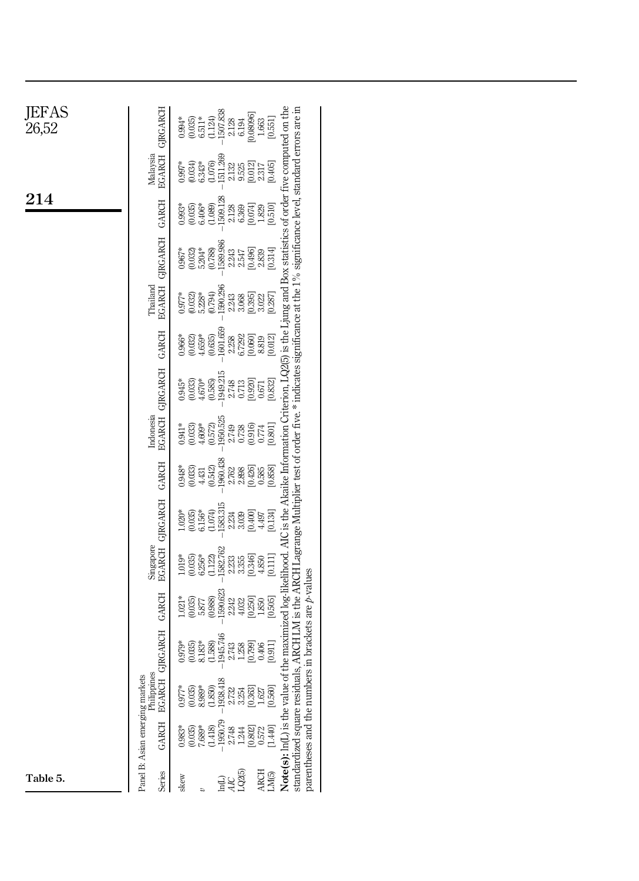| <b>JEFAS</b><br>26,52 |                                          | $-1507.838$<br>[0.08096]<br>$(0.035)$<br>$6.511**$<br>(1.124)<br>$0.994*$<br>$6.194\,$<br>2.128                                                                                 | [0.551]<br>$1.663\,$                            |                                                                                                                                                                                                                                                                                                                                                      |  |
|-----------------------|------------------------------------------|---------------------------------------------------------------------------------------------------------------------------------------------------------------------------------|-------------------------------------------------|------------------------------------------------------------------------------------------------------------------------------------------------------------------------------------------------------------------------------------------------------------------------------------------------------------------------------------------------------|--|
|                       | EGARCH GIRGARCH<br>Malaysia              | $-1511.269$<br>(0.034)<br>$6.343*$<br>(1.076)<br>$0.997*$<br>[0.012]<br>9.525<br>2.132                                                                                          | [0.405]<br>2.317                                |                                                                                                                                                                                                                                                                                                                                                      |  |
| 214                   | <b>GARCH</b>                             | $-1509.128$<br>$(0.035)$<br>$6.406*$<br>$(1.089)$<br>[0.074]<br>$0.993*$<br>2.128<br>6.369                                                                                      | $\frac{1829}{[0.510]}$                          |                                                                                                                                                                                                                                                                                                                                                      |  |
|                       |                                          | $-1589.986$<br>$\begin{array}{c} (0.032) \\ 5.204^{*} \\ (0.788) \end{array}$<br>[0.496]<br>$0.967*$<br>$2.243$<br>$2.547$                                                      | [0.314]<br>2.839                                | Note(s): h(L) is the value of the maximized log-likelihood. AIC is the Akaike Information Criterion, LQ2(5) is the Ljung and Box statistics of order five computed on the<br>standardized square residuals, ARCH LM is the ARCH Lagrange Multiplier test of order five.* indicates significance at the 1% significance level, standard errors are in |  |
|                       | EGARCH GIRGARCH<br>Thailand              | $-1590.296$<br>5.228*<br>0.794)<br>$0.977*$<br>(0.032)<br>[0.395]<br>3.068<br>2.243                                                                                             | [0.287]<br>3.022                                |                                                                                                                                                                                                                                                                                                                                                      |  |
|                       | GARCH                                    | 1601.659<br>$4.659*$<br>(0.635)<br>6.7292<br>[0.060]<br>(0.032)<br>$0.966*$<br>2.258                                                                                            | $\begin{bmatrix} 8.819 \\ 10.012 \end{bmatrix}$ |                                                                                                                                                                                                                                                                                                                                                      |  |
|                       | EGARCH GJRGARCH                          | 1949.215<br>(0.585)<br>$(0.033)$<br>$4.670*$<br>[0.920]<br>$0.945*$<br>0.713<br>2.748                                                                                           | [0.832]<br>0.671                                |                                                                                                                                                                                                                                                                                                                                                      |  |
|                       | Indonesia                                | 1950.525<br>(0.033)<br>$4.609*$<br>(0.572)<br>$0.738$<br>$0.916$<br>$0.941*$<br>2.749                                                                                           | [0.801]<br>0.774                                |                                                                                                                                                                                                                                                                                                                                                      |  |
|                       | GARCH                                    | $-1960.438$<br>(0.033)<br>[0.426]<br>(0.542)<br>$0.948*$<br>2.762<br>4.431                                                                                                      | [0.858]<br>0.585                                |                                                                                                                                                                                                                                                                                                                                                      |  |
|                       | Singapore<br>EGARCH GJRGARCH             | $-1583.315$<br>$\begin{array}{c} 1.020^{*\! *} \\ 0.035 \\ 6.156^{*\! *} \\ 0.074 \end{array}$<br>[0.400]<br>3.039<br>2.234                                                     | [0.134]<br>4.497                                |                                                                                                                                                                                                                                                                                                                                                      |  |
|                       |                                          | $-1582.762$<br>$6.256*$<br>(1.122)<br>[0.346]<br>$1.019*$<br>(0.035)<br>3.355<br>2.233                                                                                          | [0.111]<br>4.850                                |                                                                                                                                                                                                                                                                                                                                                      |  |
|                       | GARCH                                    | 1590.623<br>(0.988)<br>[0.250]<br>(0.035)<br>$1.021*$<br>2.242<br>$4.032$<br>5.877                                                                                              | [0.505]<br>1.850                                |                                                                                                                                                                                                                                                                                                                                                      |  |
|                       | <b>GJRGARCH</b>                          | $-1945.746$<br>$\frac{8.183*}{(1.588)}$<br>(0.035)<br>[0.799]<br>$0.979*$<br>1.258<br>2.743                                                                                     | [0.911]<br>0.406                                |                                                                                                                                                                                                                                                                                                                                                      |  |
|                       | Philippines<br><b>EGARCH</b>             | 1938.418<br>$(1.850)$<br>(0.035)<br>$8.989*$<br>$0.977*$<br>[0.363]<br>2.732<br>3.254                                                                                           | $1.627$<br>[0.560]                              |                                                                                                                                                                                                                                                                                                                                                      |  |
|                       | Panel B: Asian emerging markets<br>GARCH | $-1950.79$<br>$\begin{array}{c} (0.035) \\ 7.689^* \\ (1.418) \end{array}$<br>$0.983*$<br>$\begin{array}{l} 2.74 \\ 2.74 \\ 1.28 \\ 0.57 \\ 0.54 \\ 0.04 \\ \hline \end{array}$ |                                                 | parentheses and the numbers in brackets are $p$ -values                                                                                                                                                                                                                                                                                              |  |
| Table 5.              | Series                                   | LQ2(5)<br>skew<br><b>GH</b><br>$\ddot{a}$                                                                                                                                       | <b>ARCH</b><br>LM <sub>(5)</sub>                |                                                                                                                                                                                                                                                                                                                                                      |  |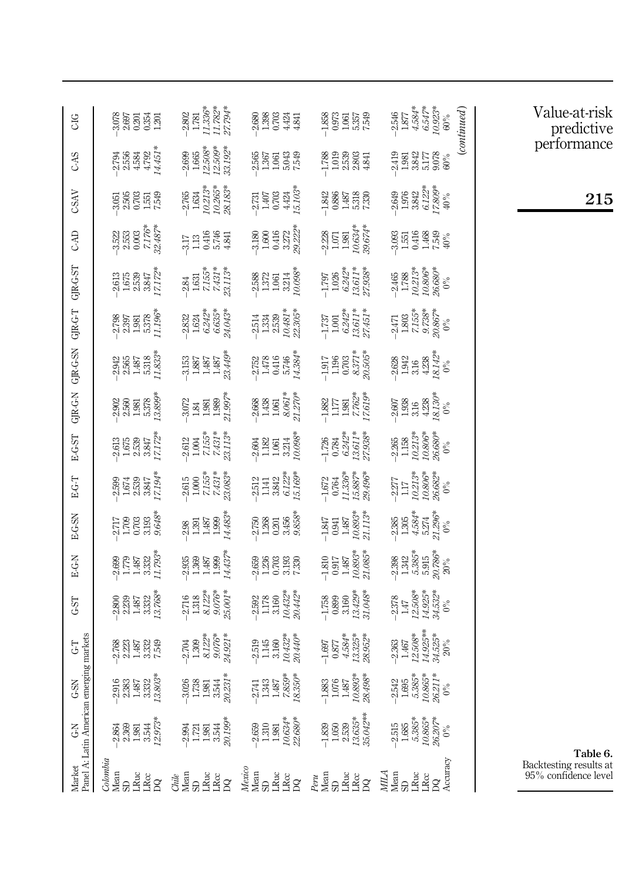<span id="page-18-0"></span>

| CIG                                     |                                                                                         | $-2.802$<br>$1.781$<br>$1.336$ <sup>*</sup><br>$1.782$ <sup>*</sup><br>$27.794$ <sup>*</sup>                                                                                                                                                                                                                             | 2.88 은 화학<br>이 기준 수 학<br>인 기준 수 학                                                             | 1.852<br>0.973<br>1.575<br>7.549                                                                                                                                                     | $\begin{array}{l} 2.546 \\ 1.877 \\ 1.4.584 \\ 6.547 \\ 6.923 \\ \end{array}$                        | $\emph{(continued)}$ |
|-----------------------------------------|-----------------------------------------------------------------------------------------|--------------------------------------------------------------------------------------------------------------------------------------------------------------------------------------------------------------------------------------------------------------------------------------------------------------------------|-----------------------------------------------------------------------------------------------|--------------------------------------------------------------------------------------------------------------------------------------------------------------------------------------|------------------------------------------------------------------------------------------------------|----------------------|
| CAS                                     | न<br>अधिकारी<br>अंतर्जुली<br>अंतर्जुली                                                  | $-2.699$<br>$1.665$<br>$12.509$ <sup>3</sup><br>$32.192$ <sup>3</sup>                                                                                                                                                                                                                                                    | 22년<br>23일<br>23년                                                                             | 1788<br>2008<br>1008<br>1008                                                                                                                                                         | 2419<br>1.9817<br>5.08%<br>5.08%                                                                     |                      |
| <b>CSAV</b>                             |                                                                                         | $-2.765$<br>$1.634$<br>$1.0213$<br>$10.265$ <sup>3</sup><br>$28.183$ <sup>3</sup>                                                                                                                                                                                                                                        | $-2.731$<br>$-1.407$<br>$-1.403$<br>$+1.03$<br>$-1.03$<br>$-1.03$                             | $-1.842$<br>$0.886$<br>$-1.842$<br>$-1.86$<br>$-1.83$<br><br>$-1.83$<br><br><br><br><br><br><br><br><br><br><br><br><br><br><br><br><br><br><br><br><br><br><br><br><br><br><br><br> | $-2.649$<br>$-1.976$<br>$-1.3842$<br>$-7.809$ <sup>*</sup><br>$-7.809$ <sup>*</sup>                  |                      |
| CAD                                     | $\begin{array}{l} 3.52 \\ 3.53 \\ 2.003 \\ 0.003 \\ 7.17 \\ 2.487 \\ 2.2 \end{array}$   | 317<br>133584<br>313644                                                                                                                                                                                                                                                                                                  | 3180<br>1.600<br>1.412<br>32223                                                               | $-2.228$<br>$1.071$<br>$1.981$<br>$1.0634$ <sup>*</sup><br>$29.674$ <sup>*</sup>                                                                                                     | 3085<br>1551488<br>14024                                                                             |                      |
|                                         | $\begin{array}{c} 2.613 \\ -2.678 \\ -1.678 \\ -3.847 \\ -1.724 \\ \hline \end{array}$  | $-2.84$<br>$1.631$<br>$7.155*$<br>$7.431*$<br>$7.431*$<br>$7.13*$                                                                                                                                                                                                                                                        | 2588<br>1372<br>1981<br>1983                                                                  | $\frac{1.797}{1.026}$<br>1.026<br>6.242*<br>13.611*                                                                                                                                  | $\begin{array}{l} -2.465 \\ 1.788 \\ 1.0.213^* \\ 10.806^{**} \\ 26.680^{**} \\ 96.0 \\ \end{array}$ |                      |
|                                         | 2798<br>2858<br>2858<br>2862                                                            | $\begin{array}{l} 2.832 \\ 1.624 \\ 6.242^* \\ 6.635^* \\ 6.635^* \\ 24.043^* \end{array}$                                                                                                                                                                                                                               | $\begin{array}{l} -2.514 \\ -1.334 \\ -1.539 \\ 2.539 \\ 2.82 \\ 2.81 \end{array}$            | $\frac{1.737}{1.001}$<br>$\frac{6.242*}{6.3611*}$<br>$\frac{737}{27.451*}$                                                                                                           | $\begin{array}{l} 2.471 \\ -1.803 \\ -1.553 \\ -2.553 \\ 9.738 \\ 20.867 \\ \end{array}$             |                      |
|                                         | $\begin{array}{cccc}\n 348 \\  -256 \\  -158 \\  -158\n \end{array}$                    | $\begin{array}{c} 3.153 \\ 1.887 \\ 1.487 \\ 1.437 \\ 1.437 \\ \end{array}$                                                                                                                                                                                                                                              | $-2.752$<br>$1.478$<br>$0.416$<br>$0.746$<br>$1.384$<br>$1.4384$                              | $7.195$<br>$1.196$<br>$0.703$<br>$0.372$<br>$0.305$<br>$0.505$                                                                                                                       | $\begin{array}{l} 2.628 \\ 1.942 \\ 1.316 \\ 4.238 \\ 6.142^\circ \\ \end{array}$                    |                      |
| LS-DALD L-D-ALD NS-D-ALD N-D-ALD        | $2800$<br>$2.560$<br>$1.981$<br>$5.378$<br>$0.389$<br>$0.389$                           | $3.072$<br>$1.81$<br>$1.80$<br>$1.90$<br>$7.3$                                                                                                                                                                                                                                                                           | $\begin{array}{c} 2.668 \\ 1.438 \\ 1.061 \\ 8.061^* \\ 2.70^* \end{array}$                   | $\begin{array}{r} 1.882 \\ 1.177 \\ 1.981 \\ 7.762^* \\ 7.619^* \\ \end{array}$                                                                                                      | $2.607$<br>$1.938$<br>$1.423$<br>$3.130$<br>$0\%$<br>$0\%$                                           |                      |
| <b>EGST</b>                             | $\begin{array}{r} 2.613 \\ -2.678 \\ 1.678 \\ -2.539 \\ 2.3847 \\ 2.172 \\ \end{array}$ | $\begin{array}{l} 2.612 \\ 1.004 \\ 7.155 \\ 7.431 \\ 2.153 \\ \end{array}$                                                                                                                                                                                                                                              | $\begin{array}{c} 260 \\ -182 \\ -195 \\ -321 \\ 098 \\ \end{array}$                          | $-1.726$<br>$0.784$<br>$6.242*$<br>$13.611*$<br>$27.938*$                                                                                                                            | $-2.265$<br>$1.158$<br>$10.213*$<br>$10.806*$<br>$26.680*$                                           |                      |
| E-G-T                                   | $\begin{array}{c} 2.599 \\ -1.674 \\ -0.532 \\ -0.537 \\ -0.024 \end{array}$            | $\begin{array}{l} 2.615 \\ 1.000 \\ 7.155^{**} \\ 7.431^{**} \\ 23.083^{**} \end{array}$                                                                                                                                                                                                                                 | $\begin{array}{l} 2.512 \\ -1.141 \\ -3.842 \\ 6.122 \\ -6.169 \end{array}$                   | $\frac{-1.672}{0.764} \ \frac{1764}{11.336} \ \frac{1764}{15.887^*}$                                                                                                                 | $\begin{array}{l} -2.277 \\ 1.17 \\ 1.0.213^* \\ 10.806^{**} \\ 26.682^{**} \\ 0.000 \\ \end{array}$ |                      |
| E-G-SN                                  | 2717<br>1.703<br>1.703<br>2.823                                                         | $\begin{array}{r} 2.98 \\ -1.391 \\ 1.487 \\ -1.999 \\ -1.433 \end{array}$                                                                                                                                                                                                                                               | 2758<br>1263<br>13456<br>9.858                                                                | $\frac{1.847}{1.991}$<br>0.941<br>1.487<br>1.113*<br>21.113*                                                                                                                         | $\begin{array}{l} 2.385 \\ 1.305 \\ 4.584^* \\ 5.274 \\ 2.296^* \end{array}$                         |                      |
| E-G-N                                   |                                                                                         | $\begin{array}{r} 2.935 \\ -1.369 \\ -1.99 \\ -1.437 \\ \end{array}$                                                                                                                                                                                                                                                     | $2888$<br>$1288$<br>$-1038$<br>$-1038$                                                        | $\begin{array}{r} -1.810 \\ -0.917 \\ 1.487 \\ 1.0.893^* \\ 21.085^* \end{array}$                                                                                                    | 398<br>1.342<br>0.535<br>0.786<br>2.80                                                               |                      |
| $G-ST$                                  | $\begin{array}{c} 0.800 \\ 0.800 \\ 0.801 \\ 0.140 \\ 0.000 \\ 0.000 \end{array}$       | $\begin{array}{l} 2.716 \\ -1.318 \\ -1.312 \\ -8.076 \\ -9.001 \\ -1.312 \\ -9.001 \\ -1.5001 \\ -1.5001 \\ -1.5001 \\ -1.5001 \\ -1.5001 \\ -1.5001 \\ -1.5001 \\ -1.5001 \\ -1.5001 \\ -1.5001 \\ -1.5001 \\ -1.5001 \\ -1.5001 \\ -1.5001 \\ -1.5001 \\ -1.5001 \\ -1.5001 \\ -1.5001 \\ -1.5001 \\ -1.5001 \\ -1.5$ | $-2.592$<br>1.178<br>1.160<br>10.432*<br>20.442*                                              | $-1.758$<br>0.899<br>0.3160<br>1.3429*<br>31.048*                                                                                                                                    | $\begin{array}{r} -2.378 \ 1.47 \ 12.508\ast \ 14.925\ast \ 14.925\ast \ 14.925\ast \ \end{array}$   |                      |
| ing markets<br><b>GT</b>                | 2020 2020<br>2020 2020<br>2020 2020 20                                                  | $\begin{array}{l} 2.704 \\ 1.309 \\ 1.307 \\ 8.122^* \\ 9.076^* \\ 24.921^* \\ \end{array}$                                                                                                                                                                                                                              | $\begin{array}{l} -2.519 \\ -1.145 \\ -3.160 \\ 0.432^* \\ 20.440^* \end{array}$              | $\frac{1.697}{0.877}$<br>0.877<br>4.584*<br>13.325*                                                                                                                                  | $\begin{array}{r} -2.363 \\ -2.363 \\ 1.467 \\ 1.4.508 \\ 14.9253 \\ 34.525 \\ 20\,\% \end{array}$   |                      |
| G-SN                                    | $-2.916$<br>$-2.383$<br>$-1.487$<br>$-3.32$<br>$-3.32$                                  | $\begin{array}{c} 3.026 \\ -1.738 \\ -1.981 \\ -3.3731 \\ -3.0231 \\ \end{array}$                                                                                                                                                                                                                                        | $\begin{array}{l} 2.741 \\ 1.343 \\ 1.487 \\ 7.859^{*} \\ 7.850^{*} \\ 8.350^{*} \end{array}$ | $\frac{1.883}{1.076}$<br>1.987<br>1.487<br>10.893*<br>28.498                                                                                                                         | $-2.542$<br>$1.695$<br>$5.385$ <sup>*</sup><br>10.865<br>26.211                                      |                      |
| 75                                      | $2.973*$<br>3.544<br>2.864<br>2.369<br>1.981                                            | 20.199*<br>ஆ हा प्ल<br>अ न न न न                                                                                                                                                                                                                                                                                         | $\begin{array}{l} 1.310 \\ 1.981 \\ 1.0634^{*} \\ 22.680^{*} \end{array}$<br>2.659            | 35.042**<br>$\frac{1.050}{2.539}$<br>$13.635*$<br>1.839                                                                                                                              | $1.685$<br>$5.385*$<br>10.865*<br>26.207*<br>2515                                                    |                      |
| Panel A: Latin American emerg<br>Market | Colombia<br>Mean<br>ਸੂ<br>ਸੂਨ<br>ਸੂਨ<br>$\rm S$                                         | a<br>Panac<br>Wa<br>Chile                                                                                                                                                                                                                                                                                                | Weat<br>Mean<br>Man<br>Man Ci                                                                 | France<br>France<br>France                                                                                                                                                           | $\begin{array}{l} \hbox{MHA}\\ \hbox{Mean}\\ \hbox{SD} \end{array}$<br>LRuc<br>es<br>Re              |                      |

Value-at-risk predictive performance

215

Table 6. Backtesting results at 95% confidence level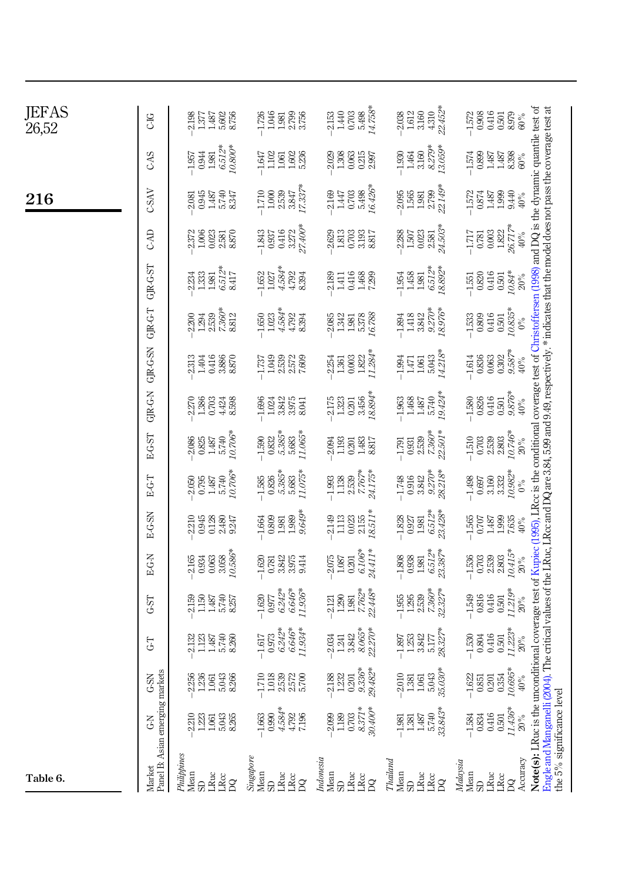| JEFAS<br>26,52 | <b>CIG</b>                                | 2.198<br>5.602<br>8.756<br>1377<br>1.487                      | 1981<br>1982<br>1983<br>1.726                                                    | $5.498$<br>$14.758*$<br>1.440<br>0.703<br>2.153                                 | $4.310$<br>$22.452*$<br>1.612<br>3.160<br>2.038                                           | 8.979<br>$-1.572$<br>0.908<br>0.416<br>0.501<br>$90\%$                                     |                                                                                                                                                                                                                                                                                                                                                                                         |
|----------------|-------------------------------------------|---------------------------------------------------------------|----------------------------------------------------------------------------------|---------------------------------------------------------------------------------|-------------------------------------------------------------------------------------------|--------------------------------------------------------------------------------------------|-----------------------------------------------------------------------------------------------------------------------------------------------------------------------------------------------------------------------------------------------------------------------------------------------------------------------------------------------------------------------------------------|
|                | CAS                                       | $6.512*$<br>$10.800*$<br>0.944<br>$-1.957$<br>1.981           | 1.602<br>5.236<br>$-1.647$<br>1.102<br>1.061                                     | 0.215<br>2.997<br>1.308<br>0.063<br>2.029                                       | $8.279*$<br>$13.059*$<br>3.160<br>$-1.930$<br>1.464                                       | $-1.574$<br>0.899<br>8.398<br>1.487<br>1.487<br>$60\%$                                     |                                                                                                                                                                                                                                                                                                                                                                                         |
| 216            | <b>CSAV</b>                               | 5.740<br>8.347<br>0.945<br>1.487<br>2.081                     | 17.337*<br>$\begin{array}{c} -1.710 \\ 1.000 \\ 2.539 \\ 3.847 \end{array}$      | 16.426*<br>2.169<br>0.703<br>5.498<br>1.447                                     | 22.149*<br>$-2.095$<br>1.565<br>2.799<br>1.981                                            | 9.440<br>$\frac{1572}{0.874}$<br>1.487<br>1.487<br>1.999<br>$40\%$                         |                                                                                                                                                                                                                                                                                                                                                                                         |
|                | CAD                                       | 2.581<br>8.870<br>1.006<br>0.023<br>2372                      | $3.272$<br>$27.400*$<br>0.416<br>$-1.843$<br>0.937                               | 2.629<br>$\begin{array}{c} 1.813 \\ 0.703 \\ 3.817 \\ 8.817 \end{array}$        | $2.581$<br>$24.503*$<br>$-2.288$<br>1.507<br>$0.023\,$                                    | 26.717*<br>$\begin{array}{c} 0.781 \\ 0.003 \\ 1.822 \end{array}$<br>$40\%$<br>$-1.717$    |                                                                                                                                                                                                                                                                                                                                                                                         |
|                | <b>GRGST</b>                              | $6512*$<br>8417<br>1.333<br>2.234<br>1.981                    | $\begin{array}{r} -1.652 \\ 1.027 \\ 4.584*\end{array}$<br>4792<br>8.394         | 2.189<br>0.416<br>1.468<br>7.299<br>1.411                                       | $6512*$<br>$18892*$<br>1.458<br>$-1.954$<br>1.981                                         | 10.84*<br>$\begin{array}{c} 0.416 \\ 0.501 \end{array}$<br>$0.820\,$<br>$20\%$<br>$-1.551$ |                                                                                                                                                                                                                                                                                                                                                                                         |
|                | GR-G-T                                    | $7.360*$<br>8812<br>2.539<br>2.200<br>1.294                   | $\begin{array}{l} 1.023 \\ 4.584* \\ 4.792 \\ 8.394 \end{array}$<br>1.650        | $\begin{array}{c} 1.342 \\ 1.981 \\ 5.378 \\ 16.788 \end{array}$<br>2.085       | $9.270*$<br>18.976*<br>$-1.894$<br>1.418<br>3.842                                         | 10.835*<br>$-1,533$<br>$0.809$<br>0.416<br>0.501<br>$0\%$                                  |                                                                                                                                                                                                                                                                                                                                                                                         |
|                | GJR-G-SN                                  | 2313<br>0.416<br>3.886<br>8.870<br>1.404                      | 1.049<br>2.539<br>2.572<br>7.609<br>$-1.737$                                     | $11.284*$<br>1.822<br>0.003<br>2.254<br>1.361                                   | 14.218*<br>5.043<br>$-1.994$<br>1.061<br>1.471                                            | $9.587*$<br>0.302<br>0.836<br>0.063<br>$-1.614$<br>$40\%$                                  |                                                                                                                                                                                                                                                                                                                                                                                         |
|                | GJR-G-N                                   | $-2.270$<br>1.386<br>0.703<br>4.424<br>8.598                  | 3842<br>3.975<br>8.041<br>$-1.696$<br>1.024                                      | '8.894*<br>0.201<br>3.456<br>$-2.175$<br>$1.323$                                | $\frac{1.487}{5.740}$<br>$19.424*$<br>$-1.963$<br>1.468                                   | 9.876*<br>0.416<br>0.826<br>$-1.580$<br>0.501<br>$40\%$                                    |                                                                                                                                                                                                                                                                                                                                                                                         |
|                | EG-ST                                     | $\frac{5.740}{10.706}$<br>$-2.086$<br>$0.825$<br>1.487        | $-1.590$<br>0.832<br>5.385*<br>11.065*<br>5.683                                  | 1.193<br>$\frac{1.483}{8.817}$<br>2.094<br>0.201                                | $7.360*$<br>$22.501*$<br>$\frac{-1.791}{0.931}$                                           | 10.746*<br>$\frac{-1.510}{0.703}$<br>2.803<br>$20\%$                                       |                                                                                                                                                                                                                                                                                                                                                                                         |
|                | E-G-T                                     | $\frac{5.740}{0.706}$<br>$-2.050$<br>$0.795$<br>1.487         | $0.826$<br>$5.385*$<br>11.075*<br>$-1.585$<br>5.683                              | 7.767*<br>24.175*<br>1.138<br>2.539<br>1.993                                    | $9.270*$<br>28.218*<br>$-1.748$<br>0.916<br>3.842                                         | 10.982*<br>3.160<br>3332<br>$-1.498$<br>0.697<br>$0\%$                                     |                                                                                                                                                                                                                                                                                                                                                                                         |
|                | E-G-SN                                    | 2.210<br>0.945<br>$2.480$<br>9.247<br>0.128                   | 9.649*<br>$-1.664$<br>0.809<br>1.989<br>1.989                                    | 18511*<br>2.155<br>2.149<br>$1.113$<br>0.023                                    | 6.512*<br>23.428*<br>$-1.828$<br>1.927<br>1.981                                           | 1.999<br>7.635<br>$-1.565$<br>$0.707$<br>1.487<br>$40\%$                                   |                                                                                                                                                                                                                                                                                                                                                                                         |
|                | E-G-N                                     | $3.058$<br>$10.586*$<br>0.063<br>2.165<br>0.934               | $\frac{0.781}{3.842}$<br>3.975<br>$-1.620$<br>9.414                              | 24.411*<br>6.106*<br>2.075<br>$1.087\,$<br>$0.201\,$                            | $6.512*$<br>23.387*<br>$\frac{-1.808}{0.938}$<br>1.981                                    | 10.415*<br>$2.539$<br>$2.803$<br>$\frac{-1.536}{0.703}$<br>$20\%$                          |                                                                                                                                                                                                                                                                                                                                                                                         |
|                | GST                                       | $\frac{1.487}{5.740}$<br>$2.159$<br>$1.150$                   | $6.242*$<br>$6.646^*$<br>11.936*<br>$-1.620$<br>0.977                            | 7.762*<br>22.448*<br>1.290<br>1.981<br>2.121                                    | 7.360*<br>$-1.955$<br>$1.295$<br>$2.539$                                                  | 11.219*<br>0.816<br>0.416<br>$-1.549$<br>$0.501\,$<br>$20\%$                               |                                                                                                                                                                                                                                                                                                                                                                                         |
|                | 5                                         | 5.740<br>8.260<br>2.132<br>1123<br>1.487                      | $6.242*$<br>$6.646*$<br>11.934*<br>0.973<br>$-1.617$                             | $\frac{8.065*}{22.270*}$<br>3.842<br>$1.241\,$<br>2.034                         | $5.177$<br>28.327*<br>3.842<br>$-1.897$<br>$1.253$                                        | 11.223*<br>$0.804$<br>$0.416$<br>$-1.530$<br>$\!0.501$<br>$20\%$                           |                                                                                                                                                                                                                                                                                                                                                                                         |
|                | යි                                        | $-2.256$<br>$1.236$<br>$1.061$<br>5.043                       | $-1.710$<br>$\begin{array}{c} 1.018 \\ 2.37 \\ 2.57 \\ 2.57 \\ 5.78 \end{array}$ | 29.482*<br>$\begin{array}{r} -2.188 \\ 1.232 \\ 0.201 \\ 9.336^{*} \end{array}$ | 35.030*<br>$\begin{array}{c} -2.010 \\ 1.381 \\ 1.061 \end{array}$<br>5.043               | $-1.622$<br>0.851<br>0.201<br>0.354<br>10.695*<br>$\rm 40\%$                               |                                                                                                                                                                                                                                                                                                                                                                                         |
|                | 75)                                       | 2.210<br>1.223<br>5.043<br>1.061                              | $4.584*$<br>4.792<br>$-1.663$<br>0.990<br>7.196                                  | 8.371*<br>$30.400*$<br>2.099<br>1.189<br>0.703                                  | 33.843*<br>5.740<br>1.487<br>$-1.981$<br>1.381                                            | 11.436*<br>0.416<br>$-1.584$<br>0.834<br>0.501<br>$20\%$                                   |                                                                                                                                                                                                                                                                                                                                                                                         |
| Table 6.       | Panel B: Asian emerging markets<br>Market | Philippines<br>Mean<br><b>LRuc</b><br>$rac{c}{R}$<br>$\Omega$ | Sing above<br>Mean<br>LRuc<br>$\frac{1}{2}$<br>S.                                | Indonesia<br>Mean<br>LRuc<br>$rac{c}{DQ}$<br>$\mathbb{S}$                       | Thailand<br>Mean $\mathbb{S} \mathbb{D}$<br>$_{\mbox{\scriptsize LRuc}}$<br>$\frac{1}{2}$ | Accuracy<br>Malaysia<br>Mean<br>LRuc<br>${\rm LRC}$<br>$\beta$<br>$\Omega$                 | Note(s): LRuc is the unconditional coverage test of Kupiec (1995), LRcc is the conditional coverage test of Christoffersen (1998) and DQ is the dynamic quantile test of<br>Engle and Manganelli (2004). The critical values of the LRuc, LRcc and DQ are 3.84, 5.99 and 9.49, respectively. * indicates that the model does not pass the coverage test at<br>the 5% significance level |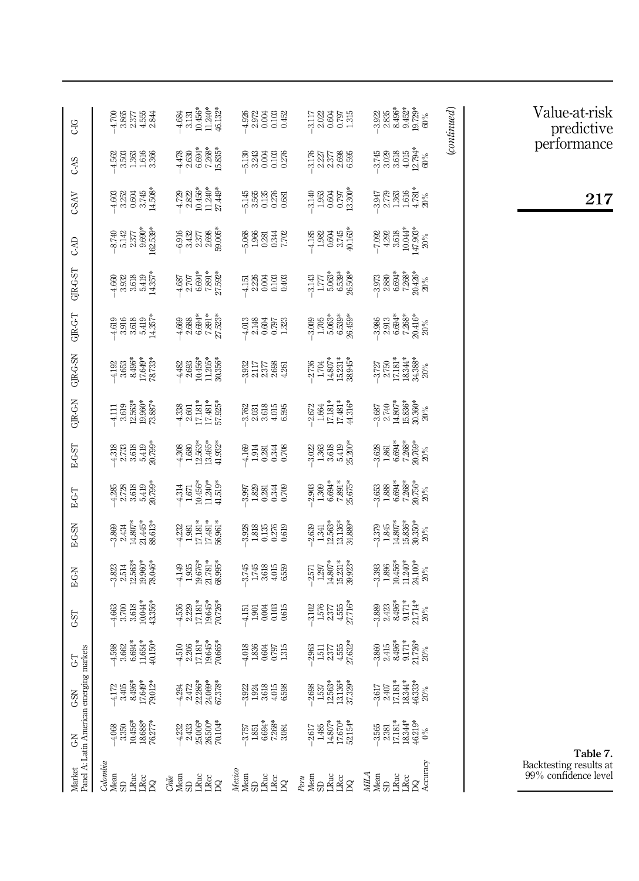<span id="page-20-0"></span>

| CG                                             | $58.587$<br>$4.887$<br>$4.987$<br>$4.987$                                                                                                                                                                                                    | $\begin{array}{c} 4.684 \\ 3.131 \\ 10.456 \\ 11.243 \\ 45.32 \\ 46.132 \\ \end{array}$                                                                                                                                                                                                                             | 3873<br>9873<br>1889                                                                                                                                              | $\frac{11}{3} \times \frac{11}{3} \times \frac{11}{3} \times \frac{11}{3} \times \frac{11}{3} \times \frac{11}{3} \times \frac{11}{3} \times \frac{11}{3} \times \frac{11}{3} \times \frac{11}{3} \times \frac{11}{3} \times \frac{11}{3} \times \frac{11}{3} \times \frac{11}{3} \times \frac{11}{3} \times \frac{11}{3} \times \frac{11}{3} \times \frac{11}{3} \times \frac{11}{3} \times \frac{11}{3} \times \frac{11}{3} \times \frac{11}{3} \times$ | 22<br>3235<br>32452<br>32528<br>32532                                                                                                                                                                                                                                                                                                         | $\emph{(continued)}$ |
|------------------------------------------------|----------------------------------------------------------------------------------------------------------------------------------------------------------------------------------------------------------------------------------------------|---------------------------------------------------------------------------------------------------------------------------------------------------------------------------------------------------------------------------------------------------------------------------------------------------------------------|-------------------------------------------------------------------------------------------------------------------------------------------------------------------|-----------------------------------------------------------------------------------------------------------------------------------------------------------------------------------------------------------------------------------------------------------------------------------------------------------------------------------------------------------------------------------------------------------------------------------------------------------|-----------------------------------------------------------------------------------------------------------------------------------------------------------------------------------------------------------------------------------------------------------------------------------------------------------------------------------------------|----------------------|
| CAS                                            | $4888$<br>$4888$<br>$-1988$<br>$-188$                                                                                                                                                                                                        | $+478$<br>$2.630$<br>$-7.88$<br>$-7.86$<br>$-15.8$<br>$-15.8$                                                                                                                                                                                                                                                       | 533<br>535<br>5355                                                                                                                                                | $\frac{8}{3}$<br>$\frac{2}{3}$<br>$\frac{2}{3}$<br>$\frac{2}{3}$<br>$\frac{6}{3}$<br>$\frac{6}{3}$<br>$\frac{6}{3}$                                                                                                                                                                                                                                                                                                                                       | $\begin{array}{l} -3.745 \\ -3.029 \\ -3.618 \\ +0.794 \\ -0.08 \\ \end{array}$                                                                                                                                                                                                                                                               |                      |
| CSAV                                           | $4888$ $3884$ $488$<br>$488$<br>$458$<br>$458$                                                                                                                                                                                               | $\begin{array}{r} 729 \\ 2.822 \\ 10.456 \\ 11.249 \\ 11.249 \\ 27.49 \end{array}$                                                                                                                                                                                                                                  | 146<br>1565<br>1565 066                                                                                                                                           |                                                                                                                                                                                                                                                                                                                                                                                                                                                           | $35788888$<br>$-2588888$<br>$-15888$                                                                                                                                                                                                                                                                                                          |                      |
| CAD                                            | $-8.742\n-8.377\n-8.330\n-8.330\n-8.330\n-8.330\n-8.330\n-8.330\n-8.330\n-8.330\n-8.330\n-8.330\n-8.330\n-8.330\n-8.330\n-8.330\n-8.330\n-8.330\n-8.330\n-8.330\n-8.330\n-8.330\n-8.330\n-8.330\n-8.3$                                       | 916<br>93277<br>93377<br>988                                                                                                                                                                                                                                                                                        | 988832<br>- 1983<br>- 1983                                                                                                                                        | $+185$<br>$1.982$<br>$1.604$<br>$3.745$<br>$40.163$                                                                                                                                                                                                                                                                                                                                                                                                       | $\begin{array}{r} -7.092 \\ -4.292 \\ 4.618 \\ 10.044^* \\ -4.3618 \\ 10.043^* \\ -4.803^* \\ \end{array}$                                                                                                                                                                                                                                    |                      |
| $GIR-GST$                                      | $\begin{array}{r} +460 \\ +3932 \\ 3618 \\ 5419 \\ -14357 \end{array}$                                                                                                                                                                       | $7.687$<br>$2.707$<br>$6.694$<br>$7.891$<br>$2.592$<br>$2.592$                                                                                                                                                                                                                                                      | 15188 경영<br>11288 경영<br>1128 경영                                                                                                                                   | 3143<br>1.775<br>1.775<br>9.899<br>9.89                                                                                                                                                                                                                                                                                                                                                                                                                   | $\begin{array}{l} 2.973 \\ -2.880 \\ -1.880 \\ -1.880 \\ -1.863 \\ -2.883 \\ -2.83 \\ -2.83 \\ -2.83 \\ -2.83 \\ -2.83 \\ -2.83 \\ -2.83 \\ -2.83 \\ -2.83 \\ -2.83 \\ -2.83 \\ -2.83 \\ -2.83 \\ -2.83 \\ -2.83 \\ -2.83 \\ -2.83 \\ -2.83 \\ -2.83 \\ -2.83 \\ -2.83 \\ -2.83 \\ -2.83 \\ -2.83 \\ -2.83 \\ -2.83 \\ -2.83 \\ -2.83 \\ -2.$ |                      |
| GJR-G-T                                        | $408$ $308$ $304$ $304$ $304$ $304$ $304$ $304$ $304$ $304$                                                                                                                                                                                  | $7.524\n 2.688\n 7.523\n 7.523\n$                                                                                                                                                                                                                                                                                   | 3335533<br>1355533                                                                                                                                                | 00<br>1706<br>1706<br>1808                                                                                                                                                                                                                                                                                                                                                                                                                                | $\substack{+396 \\ -2913 \\ -2694 \\ -7268 \\ -203 \\ \hline 20\%$                                                                                                                                                                                                                                                                            |                      |
| $GR-G-SN$                                      | $\frac{192}{1969}$<br>3653<br>34963<br>17673                                                                                                                                                                                                 | $482$<br>$2.693$<br>$10.456$<br>$11.205$<br>$30.356$                                                                                                                                                                                                                                                                | 3375<br>3375885<br>337585                                                                                                                                         | $-2.736$<br>$-1.704$<br>$-1.4807$<br>$+1.5231$<br>$+3.3345$<br>$+3.3345$                                                                                                                                                                                                                                                                                                                                                                                  | $\substack{7,727\\-2,750\\11\,181^4\\18\,344^8\\20\,\%\phantom{1}}$                                                                                                                                                                                                                                                                           |                      |
| GJR-G-N                                        | $\begin{smallmatrix} +111\ 4.11\ 3.619\ 2.563\ 1.19300\ 1.11\ 1.10300\ 1.11\ 1.10300\ 1.11\ 1.10300\ 1.11\ 1.11\ 1.11\ 1.11\ 1.11\ 1.11\ 1.11\ 1.11\ 1.11\ 1.11\ 1.11\ 1.11\ 1.11\ 1.11\ 1.11\ 1.11\ 1.11\ 1.11\ 1.11\ 1.11\ 1.11\ 1.11\ 1.$ | $\begin{array}{c} 4.33 \\ 2.601 \\ 17.181 \\ 17.92 \\ 17.92 \\ 18.33 \\ \end{array}$                                                                                                                                                                                                                                | 3763<br>38355<br>38456                                                                                                                                            | $\begin{array}{r} -2.672 \\ -1.664 \\ 1.7.181 \\ 1.7.431 \\ 1.4316 \end{array}$                                                                                                                                                                                                                                                                                                                                                                           | $\substack{+3.687\\-2.740\\-14.807^*\\-15.836^*\\-20\%\\-20\%$                                                                                                                                                                                                                                                                                |                      |
| E-G-ST                                         | $\begin{array}{r} 4318 \\ 2,733 \\ 3,619 \\ 5,90 \\ \hline \end{array}$                                                                                                                                                                      | $\begin{array}{r} 4.308 \\[-4pt] 1.680 \\[-4pt] 1.213 \\[-4pt] 1.214 \\[-4pt] 1.332 \\[-4pt] 1.332 \\[-4pt] 1.332 \\[-4pt] 1.332 \\[-4pt] 1.332 \\[-4pt] 1.332 \\[-4pt] 1.332 \\[-4pt] 1.332 \\[-4pt] 1.332 \\[-4pt] 1.332 \\[-4pt] 1.332 \\[-4pt] 1.332 \\[-4pt] 1.332 \\[-4pt] 1.332 \\[-4pt] 1.332 \\[-4pt] 1.3$ | 음료 정국 8<br>국민의 3월 20                                                                                                                                              | $\frac{28}{360}$<br>$\frac{22}{360}$<br>$\frac{22}{360}$<br>$\frac{22}{360}$                                                                                                                                                                                                                                                                                                                                                                              | 3623<br>1861<br>18633<br>72633                                                                                                                                                                                                                                                                                                                |                      |
| E-G-T                                          | $\frac{88}{1}$ $\frac{88}{1}$ $\frac{83}{1}$ $\frac{49}{1}$ $\frac{89}{1}$ $\frac{6}{1}$                                                                                                                                                     | $\begin{array}{c} 4.314 \\ 1.67 \\ 1.0456 \\ 1.2409 \\ 1.3141 \\ 1.319 \end{array}$                                                                                                                                                                                                                                 | 968883동<br>8월 8월 8일                                                                                                                                               | 2,303<br>1,303<br>7,805<br>7,805<br>2,505                                                                                                                                                                                                                                                                                                                                                                                                                 | $\begin{array}{l} 3.653 \\ -3.888 \\ 1.888 \\ -1.894 \\ -7.268 \\ -2.868 \\ -2.868 \\ -2.868 \\ -2.868 \\ -2.868 \\ -2.868 \\ -2.868 \\ -2.868 \\ -2.868 \\ -2.868 \\ -2.868 \\ -2.868 \\ -2.868 \\ -2.868 \\ -2.868 \\ -2.868 \\ -2.868 \\ -2.868 \\ -2.868 \\ -2.868 \\ -2.868 \\ -2.868 \\ -2.868 \\ -2.868 \\ -2.868 \\ -2.$              |                      |
| E-G-SN                                         | 389<br>24367453<br>243653<br>2588                                                                                                                                                                                                            | $\begin{array}{r} 4.23 \\ 1.81 \\ 1.71 \\ 1.71 \\ 1.83 \\ 1.96 \\ \end{array}$                                                                                                                                                                                                                                      | 338<br>1358<br>1969                                                                                                                                               | $\begin{array}{c} 2.63 \\ -1.31 \\ -1.21 \\ -1.33 \\ -1.31 \\ -1.31 \\ -1.33 \\ -1.35 \\ \end{array}$                                                                                                                                                                                                                                                                                                                                                     | -3.379<br>-3.307*<br>-3.307*<br>-3.350*<br>-3.30 20                                                                                                                                                                                                                                                                                           |                      |
| E-G-N                                          | $\begin{array}{r} -3.823 \\ -2.514 \\ -1.219 \\ -1.219 \\ \end{array}$                                                                                                                                                                       | $\frac{49}{1.95}$<br>$\frac{195}{1.81}$<br>$\frac{295}{1.89}$<br>$\frac{295}{1.89}$                                                                                                                                                                                                                                 | 3743<br>274355<br>274                                                                                                                                             | 7557<br>1295733<br>14153933                                                                                                                                                                                                                                                                                                                                                                                                                               | $\begin{array}{c} -3.393 \\ -3.896 \\ -1.896 \\ -1.240 \\ -1.240 \\ -2.00 \\ \end{array}$                                                                                                                                                                                                                                                     |                      |
| GST                                            | $\frac{463}{3.700}$<br>3.513<br>3.914<br>43.35                                                                                                                                                                                               | $\begin{array}{r} 4.536 \\ 2.229 \\ 17.181 \\ 19.645 \\ 10.726 \end{array}$                                                                                                                                                                                                                                         | nagge<br>Filesage                                                                                                                                                 | 3102<br>1575<br>757116<br>77716                                                                                                                                                                                                                                                                                                                                                                                                                           | 3883<br>2423<br>251714<br>2007<br>2008                                                                                                                                                                                                                                                                                                        |                      |
| G-T<br>ng markets                              | $\begin{array}{r} 4.598 \\ 3.662 \\ 6.694 \\ 1.654 \\ 1.92 \\ 1.92 \\ 1.93 \\ \end{array}$                                                                                                                                                   | $\frac{1510}{2.206}$<br>2.2005<br>17.1815<br>19.0667                                                                                                                                                                                                                                                                | 4388<br>1886<br>1987<br>1988                                                                                                                                      | 3861151552<br>1515552<br>2575622                                                                                                                                                                                                                                                                                                                                                                                                                          | 3860<br>2415<br>3496<br>301726<br>20                                                                                                                                                                                                                                                                                                          |                      |
| $G-SN$                                         | $\frac{4.172}{3.495}$<br>3.495<br>3.49625<br>17.649*                                                                                                                                                                                         | $\begin{array}{r} 4.294 \\ 2.472 \\ 2.286^* \\ 22.369^* \\ 54.378^* \end{array}$                                                                                                                                                                                                                                    | $324$<br>$-324$<br>$-361$<br>$-361$<br>$-36$<br>$-36$<br><br>$-6$<br><br><br><br><br><br><br><br><br><br><br><br><br><br><br><br><br><br><br><br><br><br><br><br> | $\begin{array}{r} -2.698 \\ -1.537 \\ 1.2.563^* \\ 12.136^* \\ 37.329^* \end{array}$                                                                                                                                                                                                                                                                                                                                                                      | $-3.617$<br>$-2.407$<br>$-2.1814$<br>$-3.333$<br>$-3.333$<br>$-3.333$<br>$-3.333$<br>$-3.333$                                                                                                                                                                                                                                                 |                      |
| Panel A: Latin American emergin<br>$\tilde{S}$ | $-4.068$<br>$3.50$<br>$10.456$<br>$18.688$<br>$18.67$                                                                                                                                                                                        | $\begin{array}{r} -4.232 \\ 2.433 \\ 25.006^* \\ 26.500^* \\ 70.104^* \end{array}$                                                                                                                                                                                                                                  | $-3.757$<br>$-1.55$<br>$-3.88$<br>$-1.56$<br>$-3.88$<br>$-3.88$<br>$-3.84$                                                                                        | $\frac{-2.617}{1.485}$<br>1.485<br>17.670*<br>17.670*                                                                                                                                                                                                                                                                                                                                                                                                     | $\begin{array}{l} -3.565 \\ 2.381 \\ 17.181^{*} \\ 18.344^{*} \\ 46.219^{*} \\ 9\% \end{array}$                                                                                                                                                                                                                                               |                      |
| Market                                         |                                                                                                                                                                                                                                              |                                                                                                                                                                                                                                                                                                                     |                                                                                                                                                                   |                                                                                                                                                                                                                                                                                                                                                                                                                                                           | os Santas Ganaga<br>Taman Santas Astro Santas Palakan Astro Santas Santas Santas Santas Santas Santas Santas Santas Santas Santas<br>Ganaga Santas Santas Santas Santas Santas Santas Santas Santas Santas Santas Santas Santas Sant                                                                                                          |                      |

Value-at-risk predictive performance

217

Table 7. Backtesting results at 99% confidence level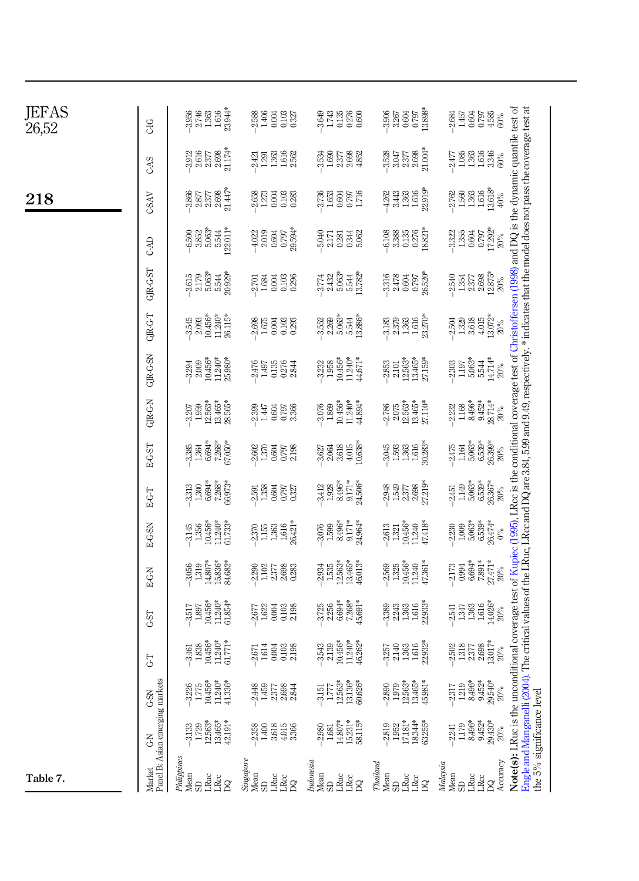| JEFAS<br>26,52 | CIG                                       | $\begin{array}{r} -3.956 \\ 2.746 \\ 1.503 \\ 1.616 \\ 23.94* \\ \end{array}$               | 388<br>1406<br>1406<br>1327                                                         | $3.748$ $3.748$ $3.88$ $6.88$                                                       | $\frac{26}{3}$<br>$\frac{27}{3}$<br>$\frac{27}{3}$<br>$\frac{27}{3}$<br>$\frac{27}{3}$<br>$\frac{27}{3}$<br>$\frac{27}{3}$<br>$\frac{27}{3}$<br>$\frac{27}{3}$<br>$\frac{27}{3}$<br>$\frac{27}{3}$<br>$\frac{27}{3}$<br>$\frac{27}{3}$<br>$\frac{27}{3}$ | $\begin{array}{l} 0.00000\\ 0.00000\\ 0.00000\\ 0.00000\\ 0.00000\\ 0.00000\\ 0.00000\\ 0.00000\\ 0.00000\\ 0.00000\\ 0.00000\\ 0.00000\\ 0.00000\\ 0.00000\\ 0.00000\\ 0.00000\\ 0.00000\\ 0.00000\\ 0.00000\\ 0.00000\\ 0.00000\\ 0.00000\\ 0.00000\\ 0.000$                                                                            |  |
|----------------|-------------------------------------------|---------------------------------------------------------------------------------------------|-------------------------------------------------------------------------------------|-------------------------------------------------------------------------------------|----------------------------------------------------------------------------------------------------------------------------------------------------------------------------------------------------------------------------------------------------------|-------------------------------------------------------------------------------------------------------------------------------------------------------------------------------------------------------------------------------------------------------------------------------------------------------------------------------------------|--|
|                | CAS                                       | $\begin{array}{c} 2.377 \\ 2.698 \\ 21.174^* \end{array}$<br>$-3.912$<br>$2.616$            | $1.363$<br>$1.616$<br>$2.562$<br>$-2.421$<br>1.291                                  | $1.89$<br>$2.58$<br>$2.352$<br>$4.852$<br>$-3.534$                                  | 33575834                                                                                                                                                                                                                                                 | $2477$<br>$1.983$<br>$1.933$<br>$1.934$<br>$3.346$<br>$60\%$                                                                                                                                                                                                                                                                              |  |
| 218            | CSAV                                      | 21.447*<br>$3.866$<br>$2.877$<br>2.698<br>2377                                              | $.2658$<br>$1.273$<br>338<br>0.383<br>0.283                                         | $\frac{3,736}{1,653}$<br>0.797<br>1.716                                             | $1.616$<br>$22.919*$<br>1.363<br>3.443<br>4.262                                                                                                                                                                                                          | $\begin{array}{c} 1.616 \\ 13.618^{*} \end{array}$<br>$2.762$<br>$1.560$<br>1.363<br>$40\%$                                                                                                                                                                                                                                               |  |
|                | CAD                                       | $5.063*$<br>$5.544$<br>22.011*<br>$-6,500$<br>$3.852$                                       | $\frac{0.604}{0.797}$<br>29.594*<br>$-4.022$<br>2.019                               | 5.040<br>0.344<br>2.171<br>0.281                                                    | $0.276$<br>$18.821*$<br>3388<br>3385<br>5135                                                                                                                                                                                                             | 17.292*<br>$3.322$<br>$1.355$<br>0.604<br>0.797<br>$20\%$                                                                                                                                                                                                                                                                                 |  |
|                | GR-G-ST                                   | $3.615$<br>$2.179$<br>$2.663*$<br>$5.54*$<br>$2.928*$                                       | $-2.701$<br>1.684<br>0.03<br>0.103<br>0.296                                         | $774$<br>$7432$<br>$2432$<br>$2432$<br>$244$<br>$2532$<br>$2532$<br>$2532$          | $0.797$<br>$26.520*$<br>$3.316$<br>$2.478$<br>0.604                                                                                                                                                                                                      | . The critical values of the LRuc, LRcc and DQ are 3.84, 5.99 and 9.49, respectively. * indicates that the model does not pass the coverage test at<br>Note(s): LRuc is the unconditional coverage test of Kupiec (1995), LRcc is the conditional coverage test of Christoffersen (1998) and DQ is the dynamic quantile test of<br>$20\%$ |  |
|                | GR-GT                                     | $10.456*$<br>11.240*<br>26.115*<br>$-3.545$<br>$2.093$                                      | $-2.698$<br>1.675<br>0.03<br>0.103<br>0.293                                         | $\begin{array}{l} 2.269 \\ 5.063^* \\ 5.544 \\ 13.886^* \\ \end{array}$<br>$-3.552$ | $1.616$<br>23.270*<br>$-3.183$<br>$2.379$<br>$1.363\,$                                                                                                                                                                                                   | 13.072*<br>3.618<br>4.015<br>$-2.504$<br>1.329<br>$20\%$                                                                                                                                                                                                                                                                                  |  |
|                | GJR-G-SN                                  | 10.456*<br>$11.240*$<br>$25.980*$<br>$-3.294$<br>$2.009$                                    | $\frac{2476}{1.497}$<br>$\frac{0.135}{0.276}$                                       | $10.456*$<br>11.240*<br>44.671*<br>$-3.232$<br>1.958                                | $2.101$<br>$12.563*$<br>$13.465*$<br>27.159*<br>$-2.853$                                                                                                                                                                                                 | $5.063*$<br>$\frac{5.544}{14.714*}$<br>$-2.303$<br>$1.197\,$<br>$20\%$                                                                                                                                                                                                                                                                    |  |
|                | GJR-G-N                                   | $\begin{array}{l} 12.563^{*} \\ 13.465^{*} \\ 28.565^{*} \end{array}$<br>$-3.207$<br>1.959  | 2.399<br>4308%<br>1989                                                              | $\frac{-3.076}{1.869}$<br>10.456*<br>11.240*<br>44.894*                             | $-2.786$<br>$2.075$<br>$2.105$<br>$2.465$<br>$2.110*$<br>$2.110*$                                                                                                                                                                                        | $\begin{array}{l} 1.168 \\ 8.496^* \\ 8.452^* \\ 9.452^* \\ 28.714^* \end{array}$<br>2.232<br>$20\%$                                                                                                                                                                                                                                      |  |
|                | E-G-ST                                    | 385<br>1.364 %<br>0.66% 7.266<br>7.765                                                      | $-2.602$<br>1.370<br>352<br>0.58<br>2.198                                           | $10.638*$<br>$\begin{array}{c} -3.627 \\ 2.064 \\ 3.618 \end{array}$<br>4.015       | $1.616$<br>$30.283*$<br>$-3.045$<br>1.593<br>1.363                                                                                                                                                                                                       | $-2.475$<br>$1.164$<br>$5.063*$<br>$6.539*$<br>26.399*<br>$20\%$                                                                                                                                                                                                                                                                          |  |
|                | E-G-T                                     | $6.694*$<br>7.268*<br>66.973*<br>$3.313$<br>$1.300$                                         | 2,591<br>1,358<br>1,364<br>0,327<br>0,327                                           | $\begin{array}{c} 3.412 \\ 1.928 \\ 8.496^* \\ 9.171^* \end{array}$<br>24.506*      | $2.698$<br>27219*<br>$-2.948$<br>1.549<br>2.377                                                                                                                                                                                                          | $2.451$<br>$1.149$<br>$5.063*$<br>$6.539*$<br>26.367*<br>$20\%$                                                                                                                                                                                                                                                                           |  |
|                | E-G-SN                                    | 10.456*<br>11.240*<br>61.733*<br>$3.145$<br>$1.356$                                         | 26.421*<br>$\begin{array}{l} 2.370 \\ 1.156 \\ 1.363 \\ 1.616 \end{array}$          | $\begin{array}{c} 3.076 \\ -1.599 \\ 8.496^* \\ 9.171^* \end{array}$<br>24.964*     | 10.456*<br>$11.240$<br>$47.418*$<br>$\begin{array}{c} 2.613 \\ 1.321 \end{array}$                                                                                                                                                                        | 26.474*<br>$6.539*$<br>$1.009$<br>$5.063*$<br>2.230<br>$0\%$                                                                                                                                                                                                                                                                              |  |
|                | E-G-N                                     | $\begin{array}{l} 14.807^* \\ 15.836^* \\ 84.682^* \end{array}$<br>$-3.056$<br>1.319        | $-2.290$<br>$1.102$<br>$\begin{array}{c} 2.377 \\ 2.698 \\ 0.283 \end{array}$       | $12.563*$<br>13.465*<br>46.013*<br>$-2.934$<br>1.535                                | $\begin{array}{c} -2.569 \\ -1.325 \\ 1.0.456^* \\ 1.240 \\ \hline 1.7.361^* \\ \end{array}$                                                                                                                                                             | $6.694*$<br>27.471*<br>$7.891*$<br>2.173<br>0.994<br>$20\%$                                                                                                                                                                                                                                                                               |  |
|                | GST                                       | $10.456*$<br>11.240*<br>$61.854*$<br>$-3.517$<br>1.897                                      | 0.03<br>0.138<br>2.138<br>$-2.677$<br>1.622                                         | $2.256$<br>$6.694*$<br>$7.268*$<br>45.691*<br>3.725                                 | $1.616$<br>$22.933*$<br>2.243<br>1.363<br>3.389                                                                                                                                                                                                          | 14.026*<br>$\frac{1.363}{1.616}$<br>$-2.541$<br>1.347<br>$20\%$                                                                                                                                                                                                                                                                           |  |
|                | $\overline{C}$                            | $\begin{array}{c} 10.456^* \\ 11.240^* \\ 61.771^* \end{array}$<br>$-3.461$<br>1.838        | 1.614<br>0.103<br>2.198<br>0.004<br>2.671                                           | $\begin{array}{c} 2.139 \\ 10.456^* \\ 11.240^* \end{array}$<br>46.262*<br>3.543    | $1.616$<br>$22.932*$<br>2.140<br>1.363<br>3.257                                                                                                                                                                                                          | $\frac{2377}{2.698}$<br>13.017*<br>$.2502$<br>$1.318$<br>$20\%$                                                                                                                                                                                                                                                                           |  |
|                | G-SN                                      | $\begin{array}{c} 10.456^* \\ 11.240^* \\ 41.336^* \end{array}$<br>$1.775\,$<br>3.226       | 2.448<br>1.459<br>2377<br>2.698<br>2.844                                            | $12.563*$<br>13.136*<br>$60.626*$<br>$-3.151$<br>1.777                              | $1.979$<br>$12.563*$<br>$13.465*$<br>45.981*<br>$-2.890$                                                                                                                                                                                                 | 8.496*<br>9.452*<br>29.540*<br>1.219<br>$-2.317$<br>$20\%$                                                                                                                                                                                                                                                                                |  |
|                | Panel B: Asian emerging markets<br>3<br>5 | $\begin{array}{c} 12.563^{*} \\ 13.465^{*} \\ 42.191^{*} \end{array}$<br>$.3133$<br>$1.729$ | 2.358<br>$\begin{array}{c} 3.618 \\ 4.015 \\ 3.366 \end{array}$<br>$1.400\,$        | $14.807*$<br>$15.231*$<br>58.115*<br>2.980<br>1.681                                 | $\begin{array}{r} -2.819 \\ 1.952 \\ 1.7181^{*} \\ 18.344^{*} \\ 18.355^{*} \\ 63.255^{*} \end{array}$                                                                                                                                                   | Engle and Manganelli (2004)<br>the 5% significance level<br>$\begin{array}{l} 1.179 \\ 8.496^* \\ 9.452^* \\ 29.430^* \end{array}$<br>$-2.241$<br>$20\%$                                                                                                                                                                                  |  |
| Table 7.       | <b>Market</b>                             | Philippines<br>Mean<br>LRuc<br>LRcc<br>SD <sub>1</sub><br>$\beta$                           | Singapore<br>Mean<br>${\rm LRuc}$<br>LRcc<br>$\overline{\mathbf{S}}$<br>$\boxtimes$ | Indonesia<br>Mean<br>LRuc<br><b>LRcc</b><br>$\overline{S}$                          | Thailand<br>Mean<br>LRuc<br>$\frac{1}{2}$<br>SD <sub>1</sub>                                                                                                                                                                                             | Accuracy<br>Malaysia<br>$\frac{\text{Mean}}{\text{SD}}$<br>LRuc<br>${\rm LRec}$<br>$\beta$                                                                                                                                                                                                                                                |  |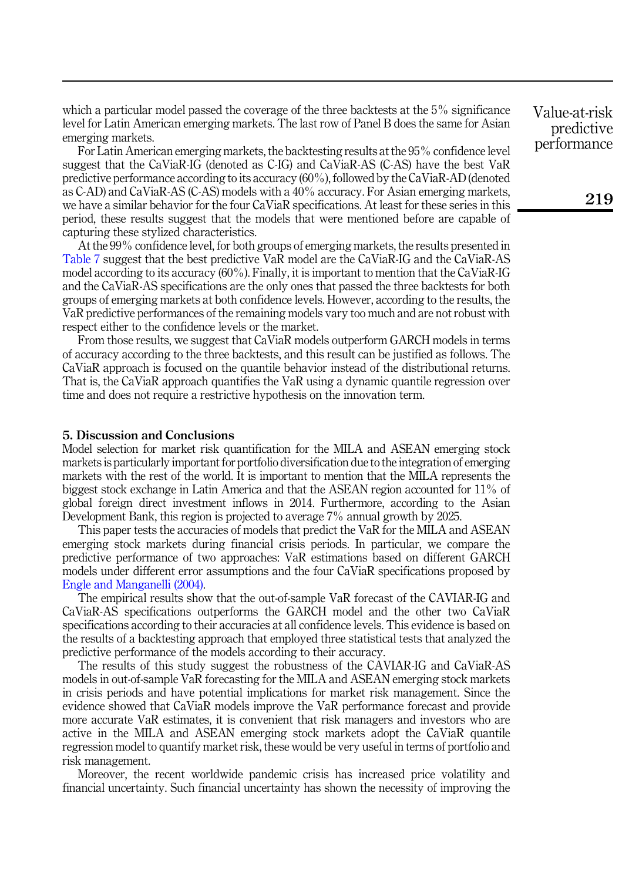which a particular model passed the coverage of the three backtests at the 5% significance level for Latin American emerging markets. The last row of Panel B does the same for Asian emerging markets.

For Latin American emerging markets, the backtesting results at the 95% confidence level suggest that the CaViaR-IG (denoted as C-IG) and CaViaR-AS (C-AS) have the best VaR predictive performance according to its accuracy (60%), followed by the CaViaR-AD (denoted as C-AD) and CaViaR-AS (C-AS) models with a 40% accuracy. For Asian emerging markets, we have a similar behavior for the four CaViaR specifications. At least for these series in this period, these results suggest that the models that were mentioned before are capable of capturing these stylized characteristics.

At the 99% confidence level, for both groups of emerging markets, the results presented in [Table 7](#page-20-0) suggest that the best predictive VaR model are the CaViaR-IG and the CaViaR-AS model according to its accuracy (60%). Finally, it is important to mention that the CaViaR-IG and the CaViaR-AS specifications are the only ones that passed the three backtests for both groups of emerging markets at both confidence levels. However, according to the results, the VaR predictive performances of the remaining models vary too much and are not robust with respect either to the confidence levels or the market.

From those results, we suggest that CaViaR models outperform GARCH models in terms of accuracy according to the three backtests, and this result can be justified as follows. The CaViaR approach is focused on the quantile behavior instead of the distributional returns. That is, the CaViaR approach quantifies the VaR using a dynamic quantile regression over time and does not require a restrictive hypothesis on the innovation term.

#### <span id="page-22-0"></span>5. Discussion and Conclusions

Model selection for market risk quantification for the MILA and ASEAN emerging stock markets is particularly important for portfolio diversification due to the integration of emerging markets with the rest of the world. It is important to mention that the MILA represents the biggest stock exchange in Latin America and that the ASEAN region accounted for 11% of global foreign direct investment inflows in 2014. Furthermore, according to the Asian Development Bank, this region is projected to average 7% annual growth by 2025.

This paper tests the accuracies of models that predict the VaR for the MILA and ASEAN emerging stock markets during financial crisis periods. In particular, we compare the predictive performance of two approaches: VaR estimations based on different GARCH models under different error assumptions and the four CaViaR specifications proposed by [Engle and Manganelli \(2004\).](#page-23-2)

The empirical results show that the out-of-sample VaR forecast of the CAVIAR-IG and CaViaR-AS specifications outperforms the GARCH model and the other two CaViaR specifications according to their accuracies at all confidence levels. This evidence is based on the results of a backtesting approach that employed three statistical tests that analyzed the predictive performance of the models according to their accuracy.

The results of this study suggest the robustness of the CAVIAR-IG and CaViaR-AS models in out-of-sample VaR forecasting for the MILA and ASEAN emerging stock markets in crisis periods and have potential implications for market risk management. Since the evidence showed that CaViaR models improve the VaR performance forecast and provide more accurate VaR estimates, it is convenient that risk managers and investors who are active in the MILA and ASEAN emerging stock markets adopt the CaViaR quantile regression model to quantify market risk, these would be very useful in terms of portfolio and risk management.

Moreover, the recent worldwide pandemic crisis has increased price volatility and financial uncertainty. Such financial uncertainty has shown the necessity of improving the

Value-at-risk predictive performance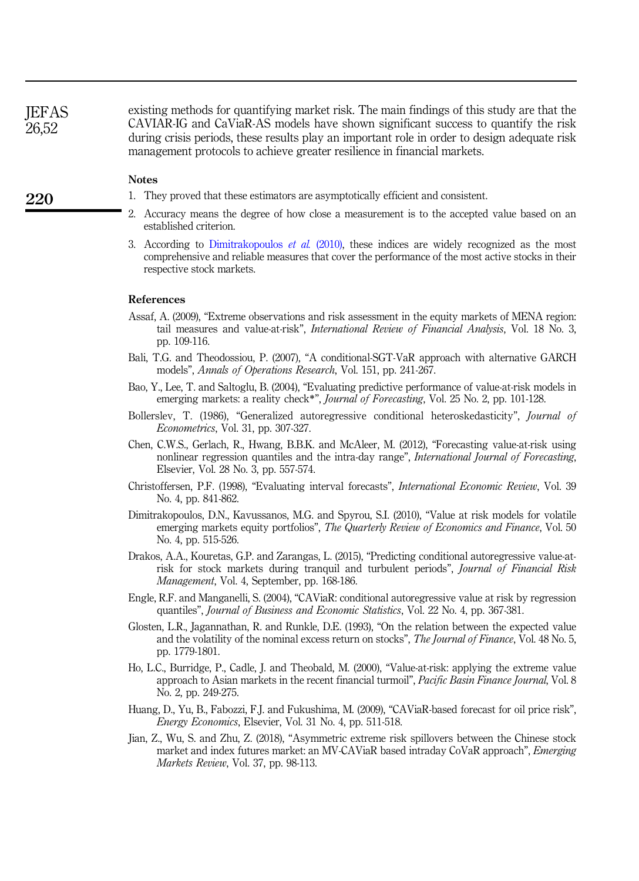**JEFAS** 26,52

existing methods for quantifying market risk. The main findings of this study are that the CAVIAR-IG and CaViaR-AS models have shown significant success to quantify the risk during crisis periods, these results play an important role in order to design adequate risk management protocols to achieve greater resilience in financial markets.

# **Notes**

- <span id="page-23-12"></span>1. They proved that these estimators are asymptotically efficient and consistent.
- <span id="page-23-13"></span>2. Accuracy means the degree of how close a measurement is to the accepted value based on an established criterion.
- <span id="page-23-15"></span>3. According to [Dimitrakopoulos](#page-23-0)  $et \ al.$  (2010), these indices are widely recognized as the most comprehensive and reliable measures that cover the performance of the most active stocks in their respective stock markets.

#### References

- <span id="page-23-1"></span>Assaf, A. (2009), "Extreme observations and risk assessment in the equity markets of MENA region: tail measures and value-at-risk", *International Review of Financial Analysis*, Vol. 18 No. 3, pp. 109-116.
- <span id="page-23-10"></span>Bali, T.G. and Theodossiou, P. (2007), "A conditional-SGT-VaR approach with alternative GARCH models", Annals of Operations Research, Vol. 151, pp. 241-267.
- <span id="page-23-3"></span>Bao, Y., Lee, T. and Saltoglu, B. (2004), "Evaluating predictive performance of value-at-risk models in emerging markets: a reality check<sup>\*</sup>", *Journal of Forecasting*, Vol. 25 No. 2, pp. 101-128.
- <span id="page-23-9"></span>Bollerslev, T. (1986), "Generalized autoregressive conditional heteroskedasticity", *Journal of* Econometrics, Vol. 31, pp. 307-327.
- <span id="page-23-4"></span>Chen, C.W.S., Gerlach, R., Hwang, B.B.K. and McAleer, M. (2012), "Forecasting value-at-risk using nonlinear regression quantiles and the intra-day range", International Journal of Forecasting, Elsevier, Vol. 28 No. 3, pp. 557-574.
- <span id="page-23-14"></span>Christoffersen, P.F. (1998), "Evaluating interval forecasts", International Economic Review, Vol. 39 No. 4, pp. 841-862.
- <span id="page-23-0"></span>Dimitrakopoulos, D.N., Kavussanos, M.G. and Spyrou, S.I. (2010), "Value at risk models for volatile emerging markets equity portfolios", The Quarterly Review of Economics and Finance, Vol. 50 No. 4, pp. 515-526.
- <span id="page-23-5"></span>Drakos, A.A., Kouretas, G.P. and Zarangas, L. (2015), "Predicting conditional autoregressive value-atrisk for stock markets during tranquil and turbulent periods", Journal of Financial Risk Management, Vol. 4, September, pp. 168-186.
- <span id="page-23-2"></span>Engle, R.F. and Manganelli, S. (2004), "CAViaR: conditional autoregressive value at risk by regression quantiles", Journal of Business and Economic Statistics, Vol. 22 No. 4, pp. 367-381.
- <span id="page-23-11"></span>Glosten, L.R., Jagannathan, R. and Runkle, D.E. (1993), "On the relation between the expected value and the volatility of the nominal excess return on stocks", The Journal of Finance, Vol. 48 No. 5, pp. 1779-1801.
- <span id="page-23-6"></span>Ho, L.C., Burridge, P., Cadle, J. and Theobald, M. (2000), "Value-at-risk: applying the extreme value approach to Asian markets in the recent financial turmoil", Pacific Basin Finance Journal, Vol. 8 No. 2, pp. 249-275.
- <span id="page-23-7"></span>Huang, D., Yu, B., Fabozzi, F.J. and Fukushima, M. (2009), "CAViaR-based forecast for oil price risk", Energy Economics, Elsevier, Vol. 31 No. 4, pp. 511-518.
- <span id="page-23-8"></span>Jian, Z., Wu, S. and Zhu, Z. (2018), "Asymmetric extreme risk spillovers between the Chinese stock market and index futures market: an MV-CAViaR based intraday CoVaR approach", *Emerging* Markets Review, Vol. 37, pp. 98-113.

220